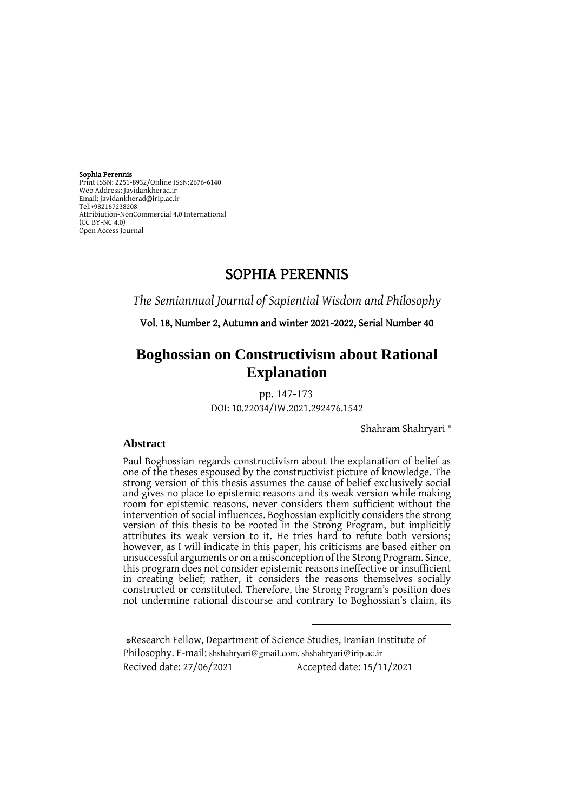Sophia Perennis

Print ISSN: 2251-8932/Online ISSN:2676-6140 Web Address: Javidankherad.ir Email[: javidankherad@irip.ac.ir](mailto:javidankherad@irip.ac.ir) [Tel:+982167238208](tel:+982167238208) Attribiution-NonCommercial 4.0 International (CC BY-NC 4.0) Open Access Journal

# SOPHIA PERENNIS

*The Semiannual Journal of Sapiential Wisdom and Philosophy*

Vol. 18, Number 2, Autumn and winter 2021-2022, Serial Number 40

# **Boghossian on Constructivism about Rational Explanation**

pp. 147-173

DOI: 10.22034/IW.2021.292476.1542

\* Shahram Shahryari

## **Abstract**

Paul Boghossian regards constructivism about the explanation of belief as one of the theses espoused by the constructivist picture of knowledge. The strong version of this thesis assumes the cause of belief exclusively social and gives no place to epistemic reasons and its weak version while making room for epistemic reasons, never considers them sufficient without the intervention of social influences. Boghossian explicitly considers the strong version of this thesis to be rooted in the Strong Program, but implicitly attributes its weak version to it. He tries hard to refute both versions; however, as I will indicate in this paper, his criticisms are based either on unsuccessful arguments or on a misconception of the Strong Program. Since, this program does not consider epistemic reasons ineffective or insufficient in creating belief; rather, it considers the reasons themselves socially constructed or constituted. Therefore, the Strong Program's position does not undermine rational discourse and contrary to Boghossian's claim, its

 \*Research Fellow, Department of Science Studies, Iranian Institute of Philosophy. E-mail: [shshahryari@gmail.com,](mailto:shshahryari@gmail.com) [shshahryari@irip.ac.ir](mailto:shshahryari@irip.ac.ir) Recived date: 27/06/2021 Accepted date: 15/11/2021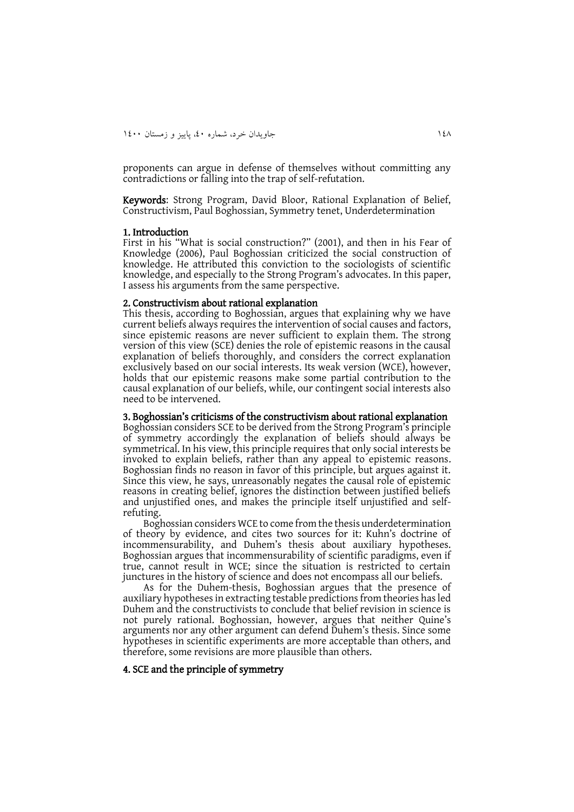proponents can argue in defense of themselves without committing any contradictions or falling into the trap of self-refutation.

Keywords: Strong Program, David Bloor, Rational Explanation of Belief, Constructivism, Paul Boghossian, Symmetry tenet, Underdetermination

#### 1. Introduction

First in his "What is social construction?" (2001), and then in his Fear of Knowledge (2006), Paul Boghossian criticized the social construction of knowledge. He attributed this conviction to the sociologists of scientific knowledge, and especially to the Strong Program's advocates. In this paper, I assess his arguments from the same perspective.

#### 2. Constructivism about rational explanation

This thesis, according to Boghossian, argues that explaining why we have current beliefs always requires the intervention of social causes and factors, since epistemic reasons are never sufficient to explain them. The strong version of this view (SCE) denies the role of epistemic reasons in the causal explanation of beliefs thoroughly, and considers the correct explanation exclusively based on our social interests. Its weak version (WCE), however, holds that our epistemic reasons make some partial contribution to the causal explanation of our beliefs, while, our contingent social interests also need to be intervened.

3. Boghossian's criticisms of the constructivism about rational explanation Boghossian considers SCE to be derived from the Strong Program's principle of symmetry accordingly the explanation of beliefs should always be symmetrical. In his view, this principle requires that only social interests be invoked to explain beliefs, rather than any appeal to epistemic reasons. Boghossian finds no reason in favor of this principle, but argues against it. Since this view, he says, unreasonably negates the causal role of epistemic reasons in creating belief, ignores the distinction between justified beliefs and unjustified ones, and makes the principle itself unjustified and selfrefuting.

Boghossian considers WCE to come from the thesis underdetermination of theory by evidence, and cites two sources for it: Kuhn's doctrine of incommensurability, and Duhem's thesis about auxiliary hypotheses. Boghossian argues that incommensurability of scientific paradigms, even if true, cannot result in WCE; since the situation is restricted to certain junctures in the history of science and does not encompass all our beliefs.

As for the Duhem-thesis, Boghossian argues that the presence of auxiliary hypotheses in extracting testable predictions from theories has led Duhem and the constructivists to conclude that belief revision in science is not purely rational. Boghossian, however, argues that neither Quine's arguments nor any other argument can defend Duhem's thesis. Since some hypotheses in scientific experiments are more acceptable than others, and therefore, some revisions are more plausible than others.

## 4. SCE and the principle of symmetry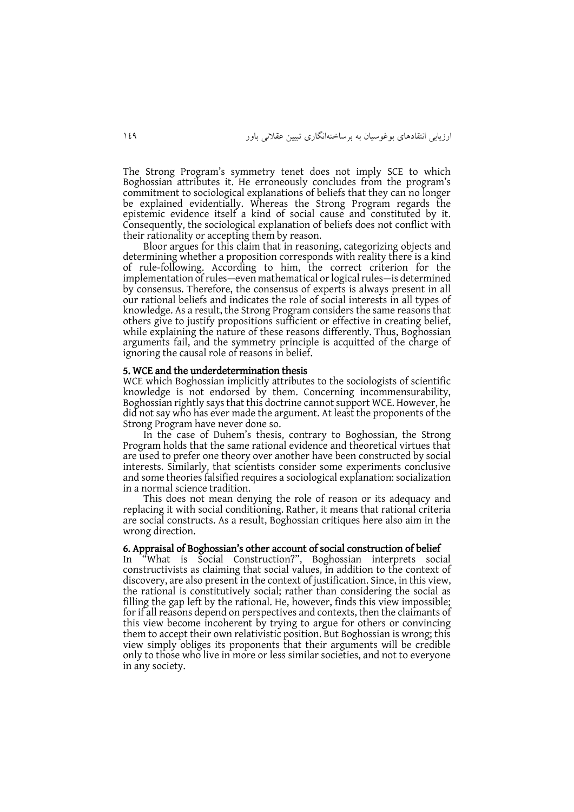The Strong Program's symmetry tenet does not imply SCE to which Boghossian attributes it. He erroneously concludes from the program's commitment to sociological explanations of beliefs that they can no longer be explained evidentially. Whereas the Strong Program regards the epistemic evidence itself a kind of social cause and constituted by it. Consequently, the sociological explanation of beliefs does not conflict with their rationality or accepting them by reason.

Bloor argues for this claim that in reasoning, categorizing objects and determining whether a proposition corresponds with reality there is a kind of rule-following. According to him, the correct criterion for the implementation of rules—even mathematical or logical rules—is determined by consensus. Therefore, the consensus of experts is always present in all our rational beliefs and indicates the role of social interests in all types of knowledge. As a result, the Strong Program considers the same reasons that others give to justify propositions sufficient or effective in creating belief, while explaining the nature of these reasons differently. Thus, Boghossian arguments fail, and the symmetry principle is acquitted of the charge of ignoring the causal role of reasons in belief.

#### 5. WCE and the underdetermination thesis

WCE which Boghossian implicitly attributes to the sociologists of scientific knowledge is not endorsed by them. Concerning incommensurability, Boghossian rightly says that this doctrine cannot support WCE. However, he did not say who has ever made the argument. At least the proponents of the Strong Program have never done so.

In the case of Duhem's thesis, contrary to Boghossian, the Strong Program holds that the same rational evidence and theoretical virtues that are used to prefer one theory over another have been constructed by social interests. Similarly, that scientists consider some experiments conclusive and some theories falsified requires a sociological explanation: socialization in a normal science tradition.

This does not mean denying the role of reason or its adequacy and replacing it with social conditioning. Rather, it means that rational criteria are social constructs. As a result, Boghossian critiques here also aim in the wrong direction.

#### 6. Appraisal of Boghossian's other account of social construction of belief

In "What is Social Construction?", Boghossian interprets social constructivists as claiming that social values, in addition to the context of discovery, are also present in the context of justification. Since, in this view, the rational is constitutively social; rather than considering the social as filling the gap left by the rational. He, however, finds this view impossible; for if all reasons depend on perspectives and contexts, then the claimants of this view become incoherent by trying to argue for others or convincing them to accept their own relativistic position. But Boghossian is wrong; this view simply obliges its proponents that their arguments will be credible only to those who live in more or less similar societies, and not to everyone in any society.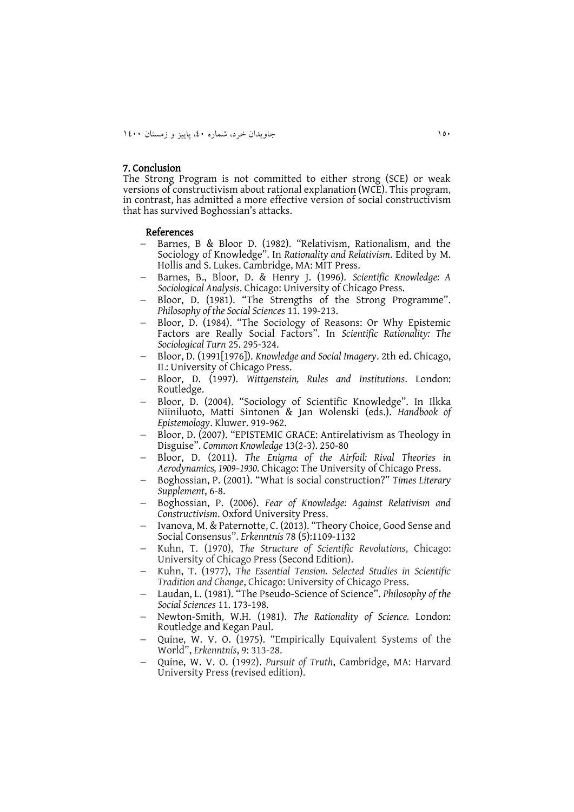## 7. Conclusion

The Strong Program is not committed to either strong (SCE) or weak versions of constructivism about rational explanation (WCE). This program, in contrast, has admitted a more effective version of social constructivism that has survived Boghossian's attacks.

#### References

- Barnes, B & Bloor D. (1982). "Relativism, Rationalism, and the Sociology of Knowledge". In *Rationality and Relativism*. Edited by M. Hollis and S. Lukes. Cambridge, MA: MIT Press.
- Barnes, B., Bloor, D. & Henry J. (1996). *Scientific Knowledge: A Sociological Analysis*. Chicago: University of Chicago Press.
- Bloor, D. (1981). "The Strengths of the Strong Programme". *Philosophy of the Social Sciences* 11. 199-213.
- Bloor, D. (1984). "The Sociology of Reasons: Or Why Epistemic Factors are Really Social Factors". In *Scientific Rationality: The Sociological Turn* 25. 295-324.
- Bloor, D. (1991[1976]). *Knowledge and Social Imagery*. 2th ed. Chicago, IL: University of Chicago Press.
- Bloor, D. (1997). *Wittgenstein, Rules and Institutions*. London: Routledge.
- Bloor, D. (2004). "Sociology of Scientific Knowledge". In Ilkka Niiniluoto, Matti Sintonen & Jan Wolenski (eds.). *Handbook of Epistemology*. Kluwer. 919-962.
- Bloor, D. (2007). "EPISTEMIC GRACE: Antirelativism as Theology in Disguise". *Common Knowledge* 13(2-3). 250-80
- Bloor, D. (2011). *The Enigma of the Airfoil: Rival Theories in Aerodynamics, 1909–1930*. Chicago: The University of Chicago Press.
- Boghossian, P. (2001). "What is social construction?" *Times Literary Supplement*, 6-8.
- Boghossian, P. (2006). *Fear of Knowledge: Against Relativism and Constructivism*. Oxford University Press.
- Ivanova, M. & Paternotte, C. (2013). "Theory Choice, Good Sense and Social Consensus". *Erkenntnis* 78 (5):1109-1132
- Kuhn, T. (1970), *The Structure of Scientific Revolutions*, Chicago: University of Chicago Press (Second Edition).
- Kuhn, T. (1977), *The Essential Tension. Selected Studies in Scientific Tradition and Change*, Chicago: University of Chicago Press.
- Laudan, L. (1981). "The Pseudo-Science of Science". *Philosophy of the Social Sciences* 11. 173-198.
- Newton-Smith, W.H. (1981). *The Rationality of Science.* London: Routledge and Kegan Paul.
- Quine, W. V. O. (1975). "Empirically Equivalent Systems of the World", *Erkenntnis*, 9: 313-28.
- Quine, W. V. O. (1992). *Pursuit of Truth*, Cambridge, MA: Harvard University Press (revised edition).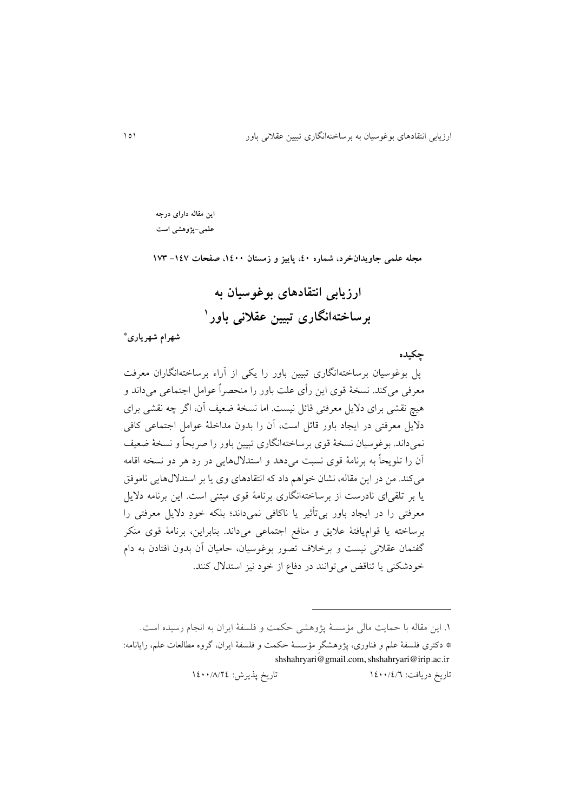**این مقاله دارای درجه علمی-پژوهشی است**

**مجله علمی جاویدانخرد، شماره ،04 پاییز و زمستان ،0044 صفحات -001 011**

**ارزیابی انتقادهای بوغوسیان به <sup>0</sup> برساختهانگاری تبیین عقالنی باور**

**\* شهرام شهریاری**

# **چکیده**

پل بوغوسیان برساختهانگاری تبیین باور را يکی از آراء برساختهانگاران معرفت معرفی میکند. نسخة قوی اين رأی علت باور را منحصراً عوامل اجتماعی میداند و هیچ نقشی برای داليل معرفتی قائل نیست. اما نسخة ضعیف آن، اگر چه نقشی برای داليل معرفتی در ايجاد باور قائل است، آن را بدون مداخلة عوامل اجتماعی کافی نمیداند. بوغوسیان نسخة قوی برساختهانگاری تبیین باور را صريحاً و نسخة ضعیف آن را تلويحاً به برنامة قوی نسبت میدهد و استداللهايی در رد هر دو نسخه اقامه میکند. من در اين مقاله، نشان خواهم داد که انتقادهای وی يا بر استداللهايی ناموفق يا بر تلقیای نادرست از برساختهانگاری برنامة قوی مبتنی است. اين برنامه داليل معرفتی را در ايجاد باور بیتأثیر يا ناکافی نمیداند؛ بلکه خودِ داليل معرفتی را برساخته يا قواميافتة عاليق و منافع اجتماعی میداند. بنابراين، برنامة قوی منکر گفتمان عقالنی نیست و برخالف تصور بوغوسیان، حامیان آن بدون افتادن به دام خودشکنی يا تناقض میتوانند در دفاع از خود نیز استدالل کنند.

تاريخ دريافت: 8444/4/6 تاريخ پذيرش: 8444/1/44

 $\overline{a}$ 

<sup>.8</sup> اين مقاله با حمايت مالی مؤسسة پژوهشی حکمت و فلسفة ايران به انجام رسیده است.

<sup>\*</sup> دکتری فلسفة علم و فناوری، پژوهشگرِ مؤسسة حکمت و فلسفة ايران، گروه مطالعات علم، رايانامه: [shshahryari@gmail.com, shshahryari@irip.ac.ir](mailto:shshahryari@gmail.com)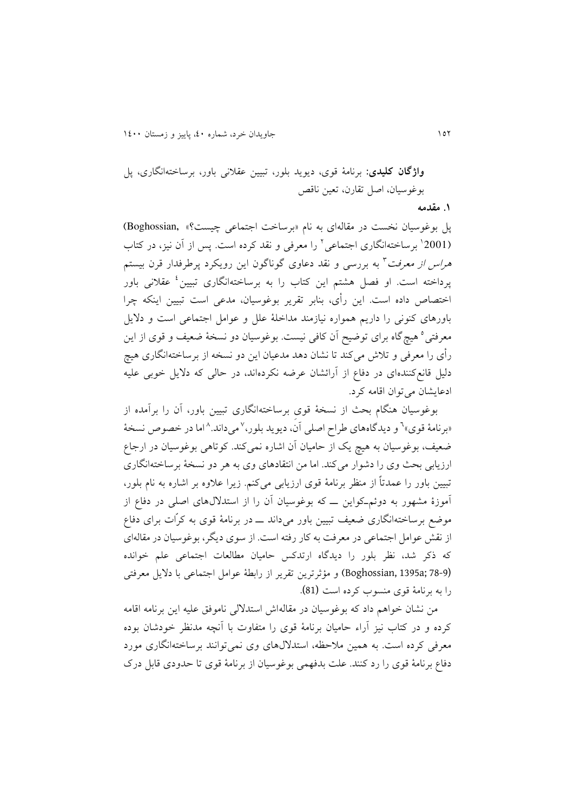**واژگان کلیدی:** برنامة قوی، ديويد بلور، تبیین عقالنی باور، برساختهانگاری، پل بوغوسیان، اصل تقارن، تعین ناقص **.0 مقدمه**

پل بوغوسیان نخست در مقالهای به نام «برساخت اجتماعی چیست؟» ,Boghossian 4 برساختهانگاری اجتماعی <sup>8</sup> (2001 را معرفی و نقد کرده است. پس از آن نیز، در کتاب *هراس از معرفت* ۳ به بررسی و نقد دعاوی گوناگون این رویکرد پرطرفدار قرن بیستم پرداخته است. او فصل هشتم این کتاب را به برساختهانگاری تبیین<sup>،</sup> عقلانی باور اختصاص داده است. اين رأی، بنابر تقرير بوغوسیان، مدعی است تبیین اينکه چرا باورهای کنونی را داريم همواره نیازمند مداخلة علل و عوامل اجتماعی است و داليل معرفتی° هیچ گاه برای توضیح آن کافی نیست. بوغوسیان دو نسخهٔ ضعیف و قوی از این رأی را معرفی و تالش میکند تا نشان دهد مدعیان اين دو نسخه از برساختهانگاری هیچ دلیل قانعکنندهای در دفاع از آرائشان عرضه نکردهاند، در حالی که داليل خوبی علیه ادعايشان می توان اقامه کرد.

بوغوسیان هنگام بحث از نسخة قویِ برساختهانگاری تبیین باور، آن را برآمده از »برنامة قوی« 6 7 و ديدگاههای طراح اصلی آن، ديويد بلور، میداند. 1 اما در خصوص نسخة ضعیف، بوغوسیان به هیچ يک از حامیان آن اشاره نمیکند. کوتاهی بوغوسیان در ارجاع ارزيابی بحث وی را دشوار میکند. اما من انتقادهای وی به هر دو نسخهٔ برساختهانگاری تبیین باور را عمدتاً از منظر برنامة قوی ارزيابی میکنم. زيرا عالوه بر اشاره به نام بلور، آموزة مشهور به دوئمـکواين ــ که بوغوسیان آن را از استداللهای اصلی در دفاع از موضع برساختهانگاری ضعیف تبیین باور میداند ــ در برنامة قوی به کرّات برای دفاع از نقش عوامل اجتماعی در معرفت به کار رفته است. از سوی ديگر، بوغوسیان در مقالهای که ذکر شد، نظر بلور را ديدگاه ارتدکس حامیان مطالعات اجتماعی علم خوانده (Boghossian, 1395a; 78-9 ) و مؤثرترين تقرير از رابطة عوامل اجتماعی با دلايل معرفتی را به برنامة قوی منسوب کرده است (81).

من نشان خواهم داد که بوغوسیان در مقالهاش استداللی ناموفق علیه اين برنامه اقامه کرده و در کتاب نیز آراء حامیان برنامة قوی را متفاوت با آنچه مدنظر خودشان بوده معرفی کرده است. به همین مالحظه، استداللهای وی نمیتوانند برساختهانگاری مورد دفاع برنامة قوی را رد کنند. علت بدفهمی بوغوسیان از برنامة قوی تا حدودی قابل درک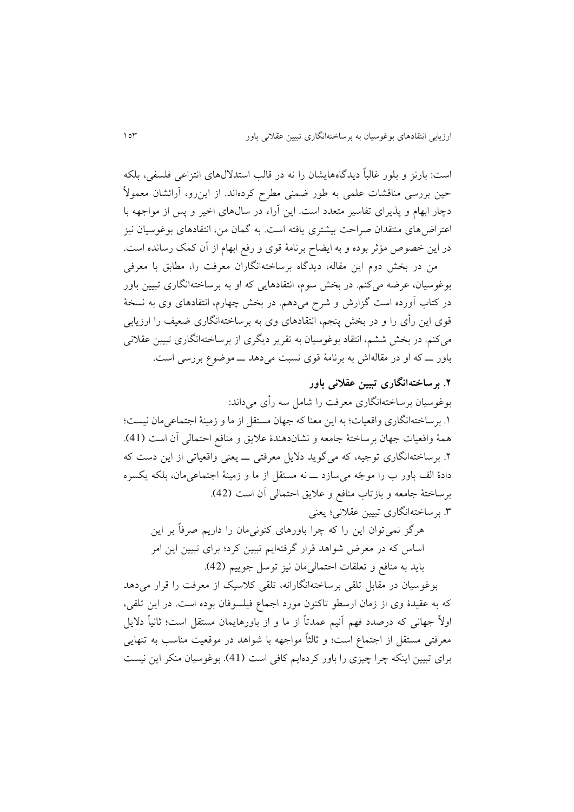است: بارنز و بلور غالباً ديدگاههايشان را نه در قالب استداللهای انتزاعی فلسفی، بلکه حین بررسی مناقشات علمی به طور ضمنی مطرح کردهاند. از اينرو، آرائشان معموالً دچار ابهام و پذيرای تفاسیر متعدد است. اين آراء در سالهای اخیر و پس از مواجهه با اعتراضهای منتقدان صراحت بیشتری يافته است. به گمان من، انتقادهای بوغوسیان نیز در اين خصوص مؤثر بوده و به ايضاح برنامة قوی و رفع ابهام از آن کمک رسانده است.

من در بخش دوم اين مقاله، ديدگاه برساختهانگاران معرفت را، مطابق با معرفی بوغوسیان، عرضه میکنم. در بخش سوم، انتقادهايی که او به برساختهانگاری تبیین باور در کتاب آورده است گزارش و شرح میدهم. در بخش چهارم، انتقادهای وی به نسخة قوی اين رأی را و در بخش پنجم، انتقادهای وی به برساختهانگاری ضعیف را ارزيابی میکنم. در بخش ششم، انتقاد بوغوسیان به تقرير ديگری از برساختهانگاری تبیین عقالنی باور ــ که او در مقالهاش به برنامة قوی نسبت میدهد ــ موضوع بررسی است.

**.۲ برساختهانگاری تبیین عقالنی باور**  بوغوسیان برساختهانگاری معرفت را شامل سه رأی میداند: .8 برساختهانگاری واقعیات؛ به اين معنا که جهان مستقل از ما و زمینة اجتماعیمان نیست؛ همة واقعیات جهان برساختة جامعه و نشاندهندة عاليق و منافع احتمالی آن است (41). .4 برساختهانگاری توجیه، که میگويد داليل معرفتی ــ يعنی واقعیاتی از اين دست که دادة الف باور ب را موجّه میسازد ــ نه مستقل از ما و زمینة اجتماعیمان، بلکه يکسره برساختة جامعه و بازتاب منافع و عاليق احتمالی آن است (42). .3 برساختهانگاری تبیین عقالنی؛ يعنی

هرگز نمیتوان اين را که چرا باورهای کنونیمان را داريم صرفاً بر اين اساس که در معرض شواهد قرار گرفتهايم تبیین کرد؛ برای تبیین اين امر بايد به منافع و تعلقات احتمالیمان نیز توسل جويیم (42).

بوغوسیان در مقابل تلقی برساختهانگارانه، تلقی کالسیک از معرفت را قرار میدهد که به عقیدة وی از زمان ارسطو تاکنون مورد اجماع فیلسوفان بوده است. در اين تلقی، اوالً جهانی که درصدد فهم آنیم عمدتاً از ما و از باورهايمان مستقل است؛ ثانیاً داليل معرفتی مستقل از اجتماع است؛ و ثالثاً مواجهه با شواهد در موقعیت مناسب به تنهايی برای تبیین اينکه چرا چیزی را باور کردهايم کافی است (41). بوغوسیان منکر اين نیست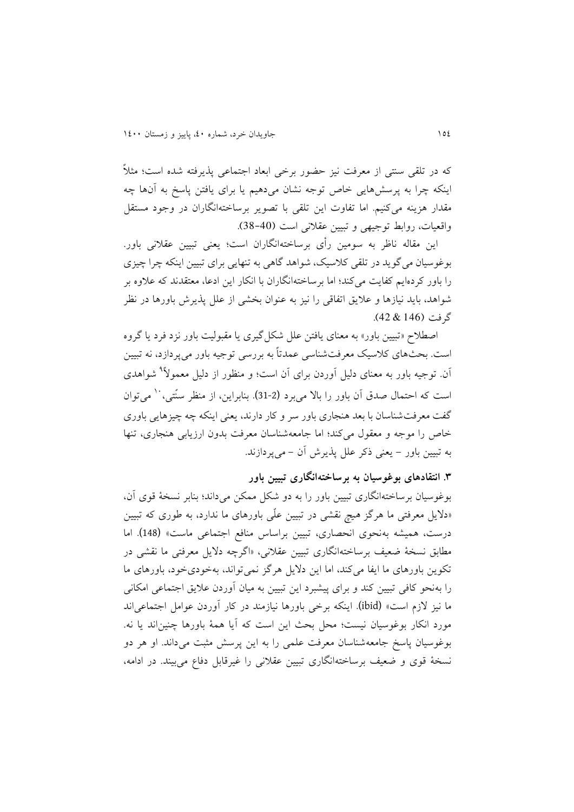که در تلقی سنتی از معرفت نیز حضور برخی ابعاد اجتماعی پذيرفته شده است؛ مثالً اينکه چرا به پرسشهايی خاص توجه نشان میدهیم يا برای يافتن پاسخ به آنها چه مقدار هزينه میکنیم. اما تفاوت اين تلقی با تصوير برساختهانگاران در وجود مستقل واقعیات، روابط توجیهی و تبیین عقالنی است (38-40).

اين مقاله ناظر به سومین رأی برساختهانگاران است؛ يعنی تبیین عقالنی باور. بوغوسیان میگويد در تلقی کالسیک، شواهد گاهی به تنهايی برای تبیین اينکه چرا چیزی را باور کردهايم کفايت میکند؛ اما برساختهانگاران با انکار اين ادعا، معتقدند که عالوه بر شواهد، بايد نیازها و عاليق اتفاقی را نیز به عنوان بخشی از علل پذيرش باورها در نظر گرفت (146 & 42).

اصطالح »تبیین باور« به معنای يافتن علل شکلگیری يا مقبولیت باور نزد فرد يا گروه است. بحثهای کالسیک معرفتشناسی عمدتاً به بررسی توجیه باور میپردازد، نه تبیین 9 آن. توجیه باور به معنای دلیل آوردن برای آن است؛ و منظور از دلیل معموالً شواهدی است که احتمال صدق آن باور را بالا می برد (2-31). بنابراين، از منظر سنّتی، <sup>۱۰</sup> می توان گفت معرفتشناسان با بعد هنجاری باور سر و کار دارند، يعنی اينکه چه چیزهايی باوری خاص را موجه و معقول میکند؛ اما جامعهشناسان معرفت بدون ارزيابی هنجاری، تنها به تبیین باور - يعنی ذکر علل پذيرش آن - میپردازند.

**.1 انتقادهای بوغوسیان به برساختهانگاری تبیین باور** 

بوغوسیان برساختهانگاری تبیین باور را به دو شکل ممکن میداند؛ بنابر نسخة قوی آن، »داليل معرفتی ما هرگز هیچ نقشی در تبیین علّی باورهای ما ندارد، به طوری که تبیین درست، همیشه بهنحوی انحصاری، تبیین براساس منافع اجتماعی ماست« (148). اما مطابق نسخة ضعیف برساختهانگاری تبیین عقالنی، »اگرچه داليل معرفتی ما نقشی در تکوين باورهای ما ايفا میکند، اما اين داليل هرگز نمیتواند، بهخودیخود، باورهای ما را بهنحو کافی تبیین کند و برای پیشبرد اين تبیین به میان آوردن عاليق اجتماعی امکانی ما نیز الزم است« (ibid(. اينکه برخی باورها نیازمند در کار آوردن عوامل اجتماعیاند مورد انکار بوغوسیان نیست؛ محل بحث اين است که آيا همة باورها چنیناند يا نه. بوغوسیان پاسخ جامعهشناسان معرفت علمی را به اين پرسش مثبت میداند. او هر دو نسخة قوی و ضعیف برساختهانگاری تبیین عقالنی را غیرقابل دفاع میبیند. در ادامه،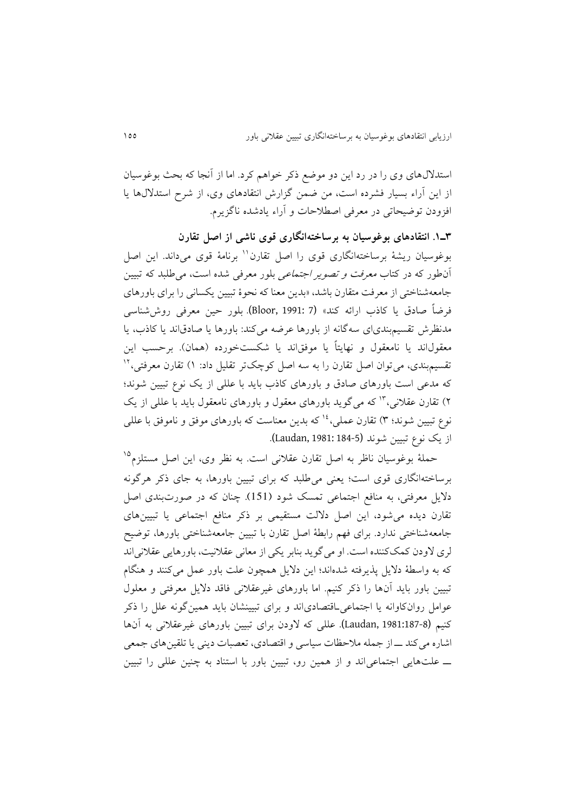استداللهای وی را در رد اين دو موضع ذکر خواهم کرد. اما از آنجا که بحث بوغوسیان از اين آراء بسیار فشرده است، من ضمن گزارش انتقادهای وی، از شرح استداللها يا افزودن توضیحاتی در معرفی اصطالحات و آراء يادشده ناگزيرم.

**1ـ.0 انتقادهای بوغوسیان به برساختهانگاری قوی ناشی از اصل تقارن** بوغوسیان ریشهٔ برساختهانگاری قوی را اصل تقارن'' برنامهٔ قوی میداند. این اصل آنطور که در کتاب معرفت و تصوير اجتماعی بلور معرفی شده است، میطلبد که تبیین جامعهشناختی از معرفت متقارن باشد، »بدين معنا که نحوة تبیین يکسانی را برای باورهای فرضاً صادق يا کاذب ارائه کند« (7 1991: ,Bloor(. بلور حین معرفی روششناسی مدنظرش تقسیمبندیای سهگانه از باورها عرضه میکند: باورها يا صادقاند يا کاذب، يا معقول\ند يا نامعقول و نهايتاً يا موفق\ند يا شکستخورده (همان). برحسب اين نقسیم.بندی، می توان اصل تقارن را به سه اصل کوچکتر تقلیل داد: ۱) تقارن معرفتی،<sup>۱۲</sup> که مدعی است باورهای صادق و باورهای کاذب بايد با عللی از يک نوع تبیین شوند؛ ۲) تقارن عقلانی،<sup>۱۳</sup> که میگوید باورهای معقول و باورهای نامعقول باید با عللی از یک نوع تبيين شوند؛ ٣) تقارن عملی،<sup>١٤</sup> که بدين معناست که باورهای موفق و ناموفق با عللی از يک نوع تبیین شوند (184-5 1981: ,Laudan(.

حملهٔ بوغوسیان ناظر به اصل تقارن عقلانی است. به نظر وی، این اصل مستلزم<sup>۱۵</sup> برساختهانگاری قوی است؛ يعنی میطلبد که برای تبیین باورها، به جای ذکر هرگونه داليل معرفتی، به منافع اجتماعی تمسک شود (151). چنان که در صورتبندی اصل تقارن ديده میشود، اين اصل داللت مستقیمی بر ذکر منافع اجتماعی يا تبیینهای جامعهشناختی ندارد. برای فهم رابطة اصل تقارن با تبیین جامعهشناختی باورها، توضیح لری الودن کمککننده است. او میگويد بنابر يکی از معانی عقالنیت، باورهايی عقالنیاند که به واسطة داليل پذيرفته شدهاند؛ اين داليل همچون علت باور عمل میکنند و هنگام تبیین باور بايد آنها را ذکر کنیم. اما باورهای غیرعقالنی فاقد داليل معرفتی و معلول عوامل روانکاوانه يا اجتماعیـاقتصادیاند و برای تبیینشان بايد همینگونه علل را ذکر کنیم (Laudan, 1981:187-8). عللی که لاودن برای تبیین باورهای غیرعقلانی به آنها اشاره میکند ــ از جمله مالحظات سیاسی و اقتصادی، تعصبات دينی يا تلقینهای جمعی ــ علتهايی اجتماعیاند و از همین رو، تبیین باور با استناد به چنین عللی را تبیین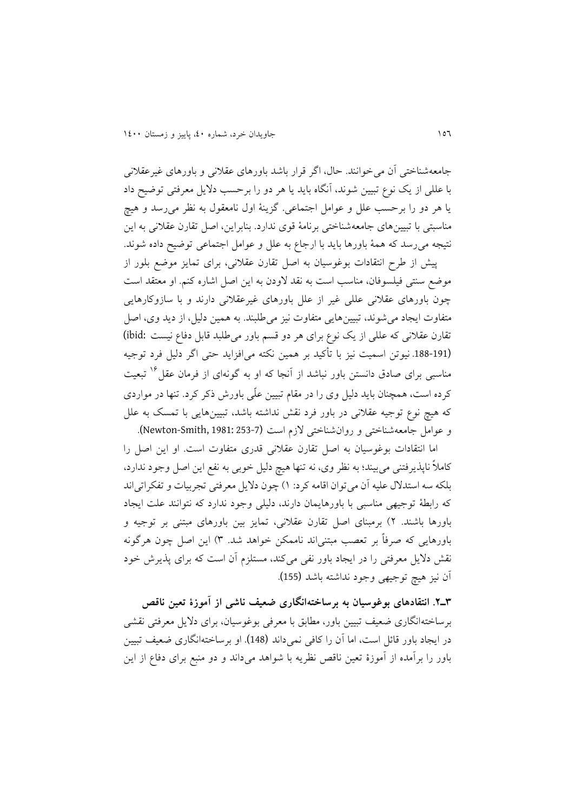جامعهشناختی آن میخوانند. حال، اگر قرار باشد باورهای عقالنی و باورهای غیرعقالنی با عللی از يک نوع تبیین شوند، آنگاه بايد يا هر دو را برحسب داليل معرفتی توضیح داد يا هر دو را برحسب علل و عوامل اجتماعی. گزينة اول نامعقول به نظر میرسد و هیچ مناسبتی با تبیینهای جامعهشناختی برنامة قوی ندارد. بنابراين، اصل تقارن عقالنی به اين نتیجه میرسد که همة باورها بايد با ارجاع به علل و عوامل اجتماعی توضیح داده شوند.

پیش از طرح انتقادات بوغوسیان به اصل تقارن عقالنی، برای تمايز موضع بلور از موضع سنتی فیلسوفان، مناسب است به نقد الودن به اين اصل اشاره کنم. او معتقد است چون باورهای عقالنی عللی غیر از علل باورهای غیرعقالنی دارند و با سازوکارهايی متفاوت ايجاد میشوند، تبیینهايی متفاوت نیز میطلبند. به همین دلیل، از ديد وی، اصل تقارن عقالنی که عللی از يک نوع برای هر دو قسم باور میطلبد قابل دفاع نیست :ibid( (.188-191 نیوتن اسمیت نیز با تأکید بر همین نکته میافزايد حتی اگر دلیل فرد توجیه مناسبی برای صادق دانستن باور نباشد از آنجا که او به گونهای از فرمان عقل<sup>۱۶</sup> تبعیت کرده است، همچنان بايد دلیل وی را در مقام تبیین علّی باورش ذکر کرد. تنها در مواردی که هیچ نوع توجیه عقالنی در باور فرد نقش نداشته باشد، تبیینهايی با تمسک به علل و عوامل جامعه شناختی و روان شناختی لازم است (253-1981: Newton-Smith, 1981: 253).

اما انتقادات بوغوسیان به اصل تقارن عقالنی قدری متفاوت است. او اين اصل را کامالً ناپذيرفتنی میبیند؛ به نظر وی، نه تنها هیچ دلیل خوبی به نفع اين اصل وجود ندارد، بلکه سه استدالل علیه آن میتوان اقامه کرد: 8( چون داليل معرفتی تجربیات و تفکراتیاند که رابطة توجیهی مناسبی با باورهايمان دارند، دلیلی وجود ندارد که نتوانند علت ايجاد باورها باشند. 4( برمبنای اصل تقارن عقالنی، تمايز بین باورهای مبتنی بر توجیه و باورهايی که صرفاً بر تعصب مبتنیاند ناممکن خواهد شد. 3( اين اصل چون هرگونه نقش داليل معرفتی را در ايجاد باور نفی میکند، مستلزم آن است که برای پذيرش خود آن نیز هیچ توجیهی وجود نداشته باشد (155).

**1ـ.۲ انتقادهای بوغوسیان به برساختهانگاری ضعیف ناشی از آموزة تعین ناقص** برساختهانگاری ضعیف تبیین باور، مطابق با معرفی بوغوسیان، برای داليل معرفتی نقشی در ايجاد باور قائل است، اما آن را کافی نمیداند (148). او برساختهانگاری ضعیف تبیین باور را برآمده از آموزة تعین ناقص نظريه با شواهد میداند و دو منبع برای دفاع از اين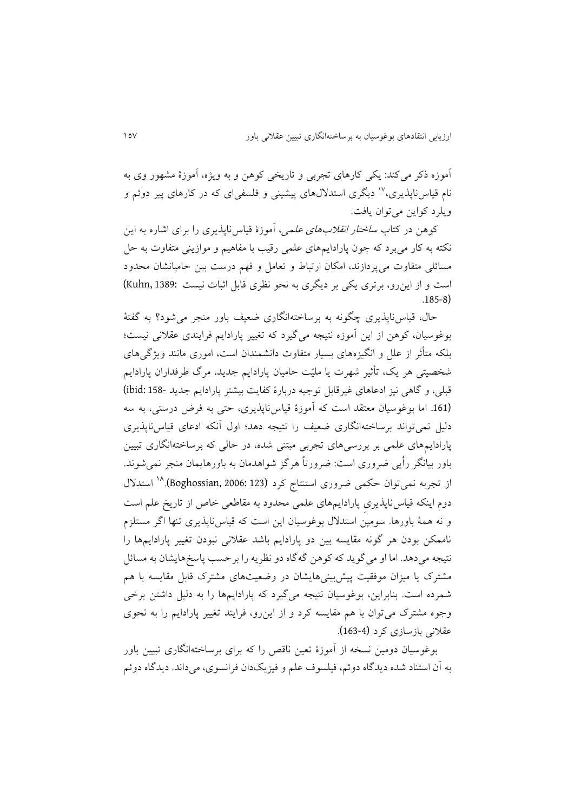آموزه ذکر میکند: يکی کارهای تجربی و تاريخی کوهن و به ويژه، آموزة مشهور وی به نام قیاس ناپذیری،<sup>۱۷</sup> دیگری استدلالهای پیشینی و فلسفیای که در کارهای پیر دوئم و ويلرد کواين میتوان يافت.

کوهن در کتاب *ساختار انقلابهای علمی*، آموزهٔ قیاسiاپذیری را برای اشاره به این نکته به کار میبرد که چون پارادايمهای علمی رقیب با مفاهیم و موازينی متفاوت به حل مسائلی متفاوت میپردازند، امکان ارتباط و تعامل و فهم درست بین حامیانشان محدود است و از اينرو، برتری يکی بر ديگری به نحو نظری قابل اثبات نیست 1389: ,Kuhn( .185-8)

حال، قیاسناپذيری چگونه به برساختهانگاری ضعیف باور منجر میشود؟ به گفتة بوغوسیان، کوهن از اين آموزه نتیجه میگیرد که تغییر پارادايم فرايندی عقالنی نیست؛ بلکه متأثر از علل و انگیزههای بسیار متفاوت دانشمندان است، اموری مانند ويژگیهای شخصیتی هر يک، تأثیر شهرت يا ملیّت حامیان پارادايم جديد، مرگ طرفداران پارادايم قبلی، و گاهی نیز ادعاهای غیرقابل توجیه دربارة کفايت بیشتر پارادايم جديد 158- :ibid( (.161 اما بوغوسیان معتقد است که آموزة قیاسناپذيری، حتی به فرض درستی، به سه دلیل نمیتواند برساختهانگاری ضعیف را نتیجه دهد؛ اول آنکه ادعای قیاسناپذيری پارادايمهای علمی بر بررسیهای تجربی مبتنی شده، در حالی که برساختهانگاری تبیین باور بیانگر رأيی ضروری است: ضرورتاً هرگز شواهدمان به باورهايمان منجر نمیشوند. از تجربه نمیتوان حکمی ضروری استنتاج کرد (123 :Boghossian, 2006).<sup>۱۸</sup> استدلال دوم اينکه قیاسناپذيریِ پارادايمهای علمی محدود به مقاطعی خاص از تاريخ علم است و نه همة باورها. سومین استدالل بوغوسیان اين است که قیاسناپذيری تنها اگر مستلزم ناممکن بودن هر گونه مقايسه بین دو پارادايم باشد عقالنی نبودن تغییر پارادايمها را نتیجه میدهد. اما او میگويد که کوهن گهگاه دو نظريه را برحسب پاسخهايشان به مسائل مشترک يا میزان موفقیت پیشبینیهايشان در وضعیتهای مشترک قابل مقايسه با هم شمرده است. بنابراين، بوغوسیان نتیجه میگیرد که پارادايمها را به دلیل داشتن برخی وجوه مشترک میتوان با هم مقايسه کرد و از اينرو، فرايند تغییر پارادايم را به نحوی عقالنی بازسازی کرد (163-4).

بوغوسیان دومین نسخه از آموزة تعین ناقص را که برای برساختهانگاری تبیین باور به آن استناد شده ديدگاه دوئم، فیلسوف علم و فیزيکدان فرانسوی، میداند. ديدگاه دوئم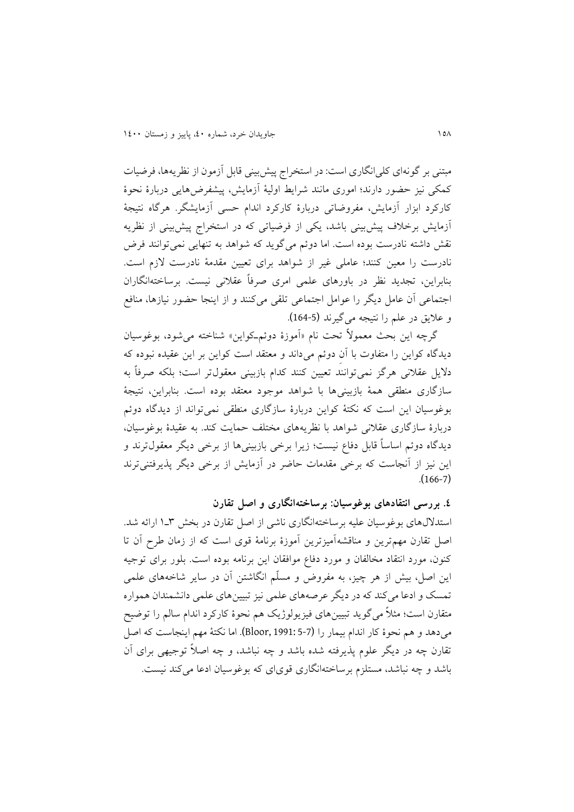مبتنی بر گونهای کلیانگاری است: در استخراج پیشبینی قابل آزمون از نظريهها، فرضیات کمکی نیز حضور دارند؛ اموری مانند شرايط اولیة آزمايش، پیشفرضهايی دربارة نحوة کارکرد ابزار آزمايش، مفروضاتی دربارة کارکرد اندام حسی آزمايشگر. هرگاه نتیجة آزمايش برخالف پیشبینی باشد، يکی از فرضیاتی که در استخراج پیشبینی از نظريه نقش داشته نادرست بوده است. اما دوئم میگويد که شواهد به تنهايی نمیتوانند فرض نادرست را معین کنند؛ عاملی غیر از شواهد برای تعیین مقدمة نادرست الزم است. بنابراين، تجديد نظر در باورهای علمی امری صرفاً عقالنی نیست. برساختهانگاران اجتماعی آن عامل ديگر را عوامل اجتماعی تلقی میکنند و از اينجا حضور نیازها، منافع و عاليق در علم را نتیجه میگیرند (164-5).

گرچه اين بحث معمولاً تحت نام «آموزهٔ دوئمـکواين» شناخته می شود، بوغوسیان ديدگاه کواين را متفاوت با آنِ دوئم میداند و معتقد است کواين بر اين عقیده نبوده که داليل عقالنی هرگز نمیتوانند تعیین کنند کدام بازبینی معقولتر است؛ بلکه صرفاً به سازگاری منطقی همة بازبینیها با شواهد موجود معتقد بوده است. بنابراين، نتیجة بوغوسیان اين است که نکتة کواين دربارة سازگاری منطقی نمیتواند از ديدگاه دوئم دربارة سازگاری عقالنی شواهد با نظريههای مختلف حمايت کند. به عقیدة بوغوسیان، ديدگاه دوئم اساساً قابل دفاع نیست؛ زيرا برخی بازبینیها از برخی ديگر معقولترند و اين نیز از آنجاست که برخی مقدمات حاضر در آزمايش از برخی ديگر پذيرفتنیترند .(166-7)

**.0 بررسی انتقادهای بوغوسیان: برساختهانگاری و اصل تقارن** استداللهای بوغوسیان علیه برساختهانگاری ناشی از اصل تقارن در بخش 3ـ8 ارائه شد. اصل تقارن مهمترين و مناقشهآمیزترين آموزة برنامة قوی است که از زمان طرح آن تا کنون، مورد انتقاد مخالفان و مورد دفاع موافقان اين برنامه بوده است. بلور برای توجیه اين اصل، بیش از هر چیز، به مفروض و مسلّم انگاشتن آن در ساير شاخههای علمی تمسک و ادعا می کند که در ديگر عرصههای علمی نیز تبيین های علمی دانشمندان همواره متقارن است؛ مثالً میگويد تبیینهای فیزيولوژيک هم نحوة کارکرد اندام سالم را توضیح میدهد و هم نحوة کار اندام بیمار را (5-7 1991: ,Bloor(. اما نکتة مهم اينجاست که اصل تقارن چه در ديگر علوم پذيرفته شده باشد و چه نباشد، و چه اصالً توجیهی برای آن باشد و چه نباشد، مستلزم برساختهانگاری قویای که بوغوسیان ادعا میکند نیست.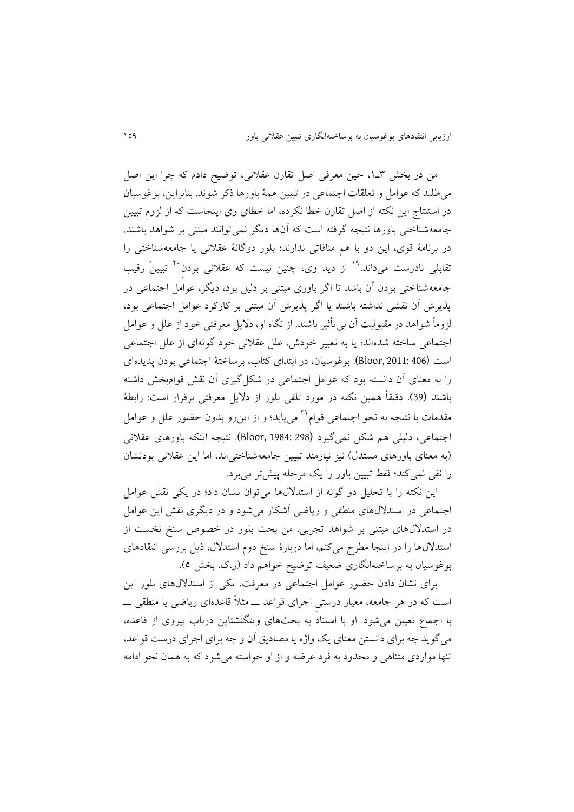من در بخش ۳ـ۱، حین معرفی اصل تقارن عقلانی، توضیح دادم که چرا این اصل میطلبد که عوامل و تعلقات اجتماعی در تبیین همة باورها ذکر شوند. بنابراين، بوغوسیان در استنتاج اين نکته از اصل تقارن خطا نکرده، اما خطای وی اينجاست که از لزوم تبیین جامعهشناختی باورها نتیجه گرفته است که آنها ديگر نمیتوانند مبتنی بر شواهد باشند. در برنامة قوی، اين دو با هم منافاتی ندارند؛ بلور دوگانة عقالنی يا جامعهشناختی را تقابلی نادرست میداند.<sup>۱۹</sup> از دید وی، چنین نیست که عقلانی بودن<sup>۲۰</sup> تبیینْ رقیب جامعهشناختی بودن آن باشد تا اگر باوری مبتنی بر دلیل بود، ديگر، عوامل اجتماعی در پذيرش آن نقشی نداشته باشند يا اگر پذيرش آن مبتنی بر کارکرد عوامل اجتماعی بود، لزوماً شواهد در مقبولیت آن بیتأثیر باشند. از نگاه او، داليل معرفتی خود از علل و عوامل اجتماعی ساخته شدهاند؛ يا به تعبیر خودش، علل عقالنی خود گونهای از علل اجتماعی است (406 2011: ,Bloor(. بوغوسیان، در ابتدای کتاب، برساختة اجتماعی بودن پديدهای را به معنای آن دانسته بود که عوامل اجتماعی در شکلگیری آن نقش قوامبخش داشته باشند (39). دقیقاً همین نکته در مورد تلقی بلور از داليل معرفتی برقرار است: رابطة مقدمات با نتیجه به نحو اجتماعی قوام<sup>۲۱</sup> می یابد؛ و از اینرو بدون حضور علل و عوامل اجتماعی، دلیلی هم شکل نمیگیرد (298 1984: ,Bloor(. نتیجه اينکه باورهای عقالنی (به معنای باورهای مستدل) نیز نیازمند تبیین جامعهشناختی اند، اما این عقلانی بودنشان را نفی نمیکند؛ فقط تبیین باور را يک مرحله پیشتر میبرد.

اين نکته را با تحلیل دو گونه از استداللها میتوان نشان داد؛ در يکی نقش عوامل اجتماعی در استداللهای منطقی و رياضی آشکار میشود و در ديگری نقش اين عوامل در استداللهای مبتنی بر شواهد تجربی. من بحث بلور در خصوص سنخ نخست از استداللها را در اينجا مطرح میکنم، اما دربارة سنخ دوم استدالل، ذيل بررسی انتقادهای بوغوسیان به برساختهانگاری ضعیف توضیح خواهم داد )ر.ک. بخش 5(.

برای نشان دادن حضور عوامل اجتماعی در معرفت، يکی از استداللهای بلور اين است که در هر جامعه، معیار درستیِ اجرای قواعد ــ مثالً قاعدهای رياضی يا منطقی ــ با اجماع تعیین میشود. او با استناد به بحثهای ويتگنشتاين درباب پیروی از قاعده، میگويد چه برای دانستن معنای يک واژه يا مصاديق آن و چه برای اجرای درست قواعد، تنها مواردی متناهی و محدود به فرد عرضه و از او خواسته میشود که به همان نحو ادامه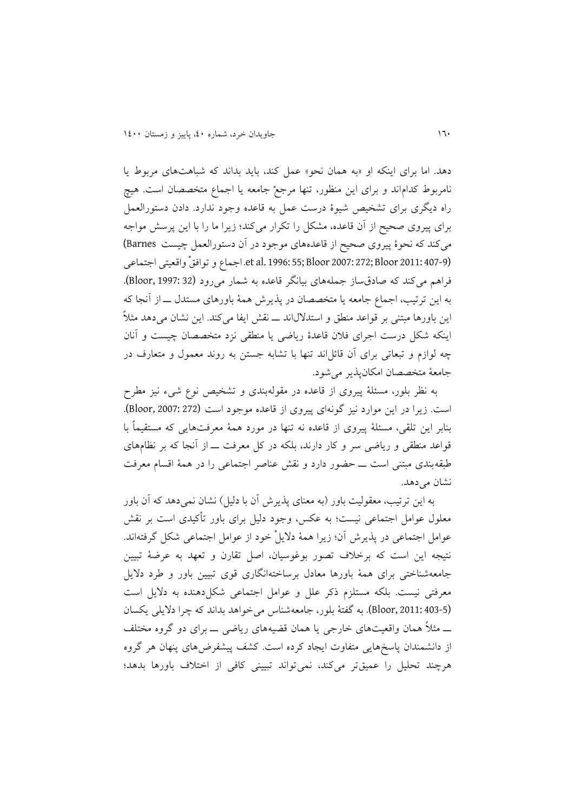دهد. اما برای اينکه او »به همان نحو« عمل کند، بايد بداند که شباهتهای مربوط يا نامربوط کداماند و برای اين منظور، تنها مرجعْ جامعه يا اجماع متخصصان است. هیچ راه ديگری برای تشخیص شیوة درست عمل به قاعده وجود ندارد. دادن دستورالعمل برای پیروی صحیح از آن قاعده، مشکل را تکرار میکند؛ زيرا ما را با اين پرسش مواجه میکند که نحوة پیروی صحیح از قاعدههای موجود در آن دستورالعمل چیست Barnes( (407-9 2011: Bloor; 272 2007: Bloor; 55 1996: .al et. اجماع و توافقْ واقعیتی اجتماعی فراهم میکند که صادقساز جملههای بیانگر قاعده به شمار میرود (82 :Bloor, 1997). به اين ترتیب، اجماع جامعه يا متخصصان در پذيرش همة باورهای مستدل ــ از آنجا که اين باورها مبتنی بر قواعد منطق و استداللاند ــ نقش ايفا میکند. اين نشان میدهد مثالً اينکه شکل درست اجرای فالن قاعدة رياضی يا منطقی نزد متخصصان چیست و آنان چه لوازم و تبعاتی برای آن قائلاند تنها با تشابه جستن به روند معمول و متعارف در جامعة متخصصان امکانپذير میشود.

به نظر بلور، مسئلة پیروی از قاعده در مقولهبندی و تشخیص نوع شیء نیز مطرح است. زيرا در اين موارد نيز گونهای پيروی از قاعده موجود است (272 :Bloor, 2007). بنابر اين تلقی، مسئلة پیروی از قاعده نه تنها در مورد همة معرفتهايی که مستقیماً با قواعد منطقی و رياضی سر و کار دارند، بلکه در کل معرفت ــ از آنجا که بر نظامهای طبقهبندی مبتنی است ــ حضور دارد و نقش عناصر اجتماعی را در همة اقسام معرفت نشان می دهد.

به اين ترتیب، معقولیت باور (به معنای پذيرش آن با دلیل) نشان نمی دهد که آن باور معلول عوامل اجتماعی نیست؛ به عکس، وجود دلیل برای باور تأکیدی است بر نقش عوامل اجتماعی در پذيرش آن؛ زيرا همة داليلْ خود از عوامل اجتماعی شکل گرفتهاند. نتیجه اين است که برخالف تصور بوغوسیان، اصل تقارن و تعهد به عرضة تبیین جامعهشناختی برای همة باورها معادل برساختهانگاری قوی تبیین باور و طرد داليل معرفتی نیست. بلکه مستلزم ذکر علل و عوامل اجتماعی شکلدهنده به داليل است (5-Bloor, 2011: 403). به گفتهٔ بلور، جامعهشناس می خواهد بداند که چرا دلایلی یکسان ــ مثالً همان واقعیتهای خارجی يا همان قضیههای رياضی ــ برای دو گروه مختلف از دانشمندان پاسخهايی متفاوت ايجاد کرده است. کشف پیشفرضهای پنهان هر گروه هرچند تحلیل را عمیقتر میکند، نمیتواند تبیینی کافی از اختالف باورها بدهد؛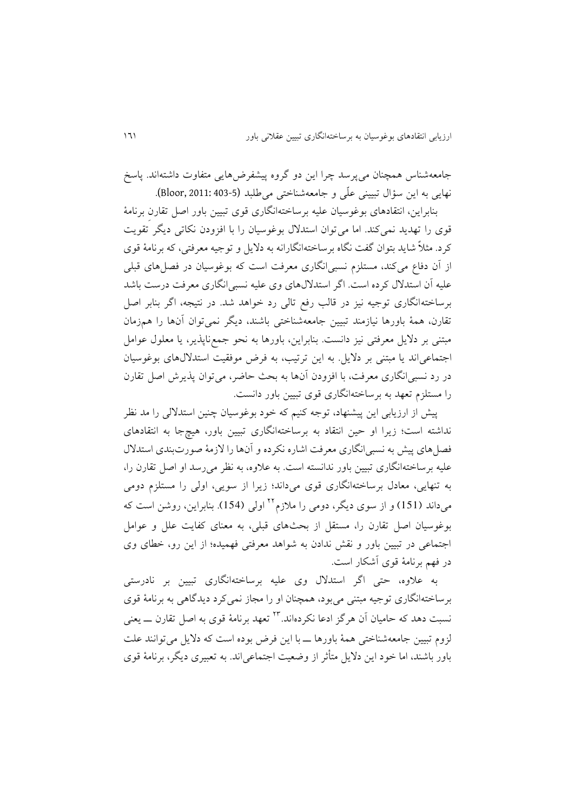جامعهشناس همچنان میپرسد چرا اين دو گروه پیشفرضهايی متفاوت داشتهاند. پاسخ نهايی به اين سؤال تبيينی علّمی و جامعهشناختی می طلبد (5-403 .Bloor, 2011: 403).

بنابراين، انتقادهای بوغوسیان علیه برساختهانگاری قوی تبیین باور اصل تقارنِ برنامة قوی را تهديد نمیکند. اما میتوان استدالل بوغوسیان را با افزودن نکاتی ديگر تقويت کرد. مثالً شايد بتوان گفت نگاه برساختهانگارانه به داليل و توجیه معرفتی، که برنامة قوی از آن دفاع میکند، مستلزم نسبیانگاری معرفت است که بوغوسیان در فصلهای قبلی علیه آن استدالل کرده است. اگر استداللهای وی علیه نسبیانگاری معرفت درست باشد برساختهانگاری توجیه نیز در قالب رفع تالی رد خواهد شد. در نتیجه، اگر بنابر اصل تقارن، همة باورها نیازمند تبیین جامعهشناختی باشند، ديگر نمیتوان آنها را همزمان مبتنی بر داليل معرفتی نیز دانست. بنابراين، باورها به نحو جمعناپذير، يا معلول عوامل اجتماعیاند يا مبتنی بر داليل. به اين ترتیب، به فرض موفقیت استداللهای بوغوسیان در رد نسبیانگاری معرفت، با افزودن آنها به بحث حاضر، میتوان پذيرش اصل تقارن را مستلزم تعهد به برساختهانگاری قوی تبیین باور دانست.

پیش از ارزيابی اين پیشنهاد، توجه کنیم که خود بوغوسیان چنین استداللی را مد نظر نداشته است؛ زيرا او حین انتقاد به برساختهانگاری تبیین باور، هیچجا به انتقادهای فصلهای پیش به نسبیانگاری معرفت اشاره نکرده و آنها را الزمة صورتبندی استدالل علیه برساختهانگاری تبیین باور ندانسته است. به عالوه، به نظر میرسد او اصل تقارن را، به تنهايی، معادل برساختهانگاری قوی میداند؛ زيرا از سويی، اولی را مستلزم دومی میداند (151) و از سوی دیگر، دومی را ملازم<sup>۲۲</sup> اولی (154). بنابراین، روشن است که بوغوسیان اصل تقارن را، مستقل از بحثهای قبلی، به معنای کفايت علل و عوامل اجتماعی در تبیین باور و نقش ندادن به شواهد معرفتی فهمیده؛ از اين رو، خطای وی در فهم برنامة قوی آشکار است.

به عالوه، حتی اگر استدالل وی علیه برساختهانگاری تبیین بر نادرستی برساختهانگاری توجیه مبتنی میبود، همچنان او را مجاز نمیکرد ديدگاهی به برنامة قوی نسبت دهد که حامیان آن هر گز ادعا نکردهاند.<sup>۲۳</sup> تعهد برنامهٔ قوی به اصل تقارن ــــ یعنی لزوم تبیین جامعهشناختی همة باورها ــ با اين فرض بوده است که داليل میتوانند علت باور باشند، اما خود اين داليل متأثر از وضعیت اجتماعیاند. به تعبیری ديگر، برنامة قوی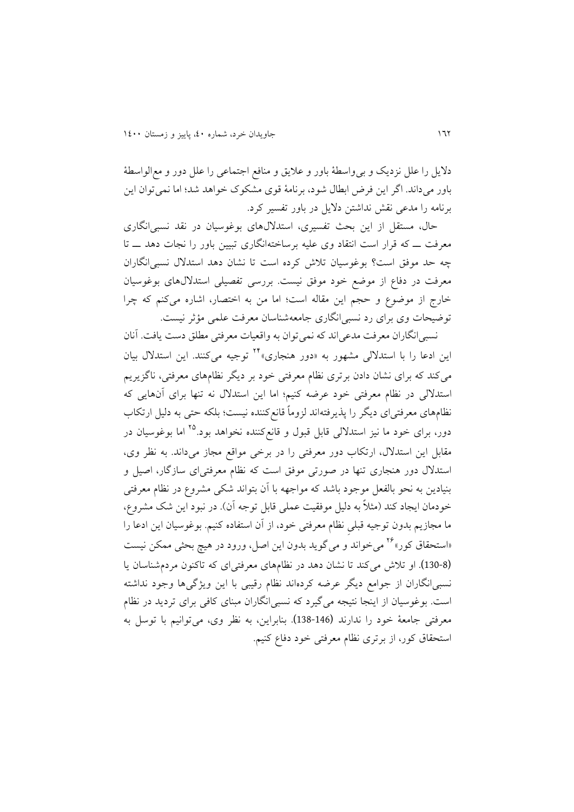داليل را علل نزديک و بیواسطة باور و عاليق و منافع اجتماعی را علل دور و معالواسطة باور میداند. اگر اين فرض ابطال شود، برنامة قوی مشکوک خواهد شد؛ اما نمیتوان اين برنامه را مدعی نقش نداشتن داليل در باور تفسیر کرد.

حال، مستقل از اين بحث تفسیری، استداللهای بوغوسیان در نقد نسبیانگاری معرفت ــ که قرار است انتقاد وی علیه برساختهانگاری تبیین باور را نجات دهد ــ تا چه حد موفق است؟ بوغوسیان تالش کرده است تا نشان دهد استدالل نسبیانگاران معرفت در دفاع از موضع خود موفق نیست. بررسی تفصیلی استداللهای بوغوسیان خارج از موضوع و حجم اين مقاله است؛ اما من به اختصار، اشاره میکنم که چرا توضیحات وی برای رد نسبیانگاری جامعهشناسان معرفت علمی مؤثر نیست.

نسبیانگاران معرفت مدعیاند که نمیتوان به واقعیات معرفتی مطلق دست يافت. آنان اين ادعا را با استدلالي مشهور به «دور هنجاری»<sup>۲۴</sup> توجيه میکنند. اين استدلال بيان میکند که برای نشان دادن برتری نظام معرفتی خود بر ديگر نظامهای معرفتی، ناگزيريم استداللی در نظام معرفتی خود عرضه کنیم؛ اما اين استدالل نه تنها برای آنهايی که نظامهای معرفتیای ديگر را پذيرفتهاند لزوماً قانعکننده نیست؛ بلکه حتی به دلیل ارتکاب دور، برای خود ما نیز استدلالی قابل قبول و قانعکننده نخواهد بود.<sup>۲۵</sup> اما بوغوسیان در مقابل اين استدالل، ارتکاب دور معرفتی را در برخی مواقع مجاز میداند. به نظر وی، استدالل دور هنجاری تنها در صورتی موفق است که نظام معرفتیای سازگار، اصیل و بنیادين به نحو بالفعل موجود باشد که مواجهه با آن بتواند شکی مشروع در نظام معرفتی خودمان ايجاد کند (مثلاً به دليل موفقيت عملی قابل توجه آن). در نبود اين شک مشروع، ما مجازيم بدون توجیه قبلیِ نظام معرفتی خود، از آن استفاده کنیم. بوغوسیان اين ادعا را «استحقاق کور»<sup>۲۶</sup> میخواند و می گوید بدون این اصل، ورود در هیچ بحثی ممکن نیست (130-8). او تالش میکند تا نشان دهد در نظامهای معرفتیای که تاکنون مردمشناسان يا نسبیانگاران از جوامع ديگر عرضه کردهاند نظام رقیبی با اين ويژگیها وجود نداشته است. بوغوسیان از اينجا نتیجه میگیرد که نسبیانگاران مبنای کافی برای ترديد در نظام معرفتی جامعة خود را ندارند (138-146). بنابراين، به نظر وی، میتوانیم با توسل به استحقاق کور، از برتری نظام معرفتی خود دفاع کنیم.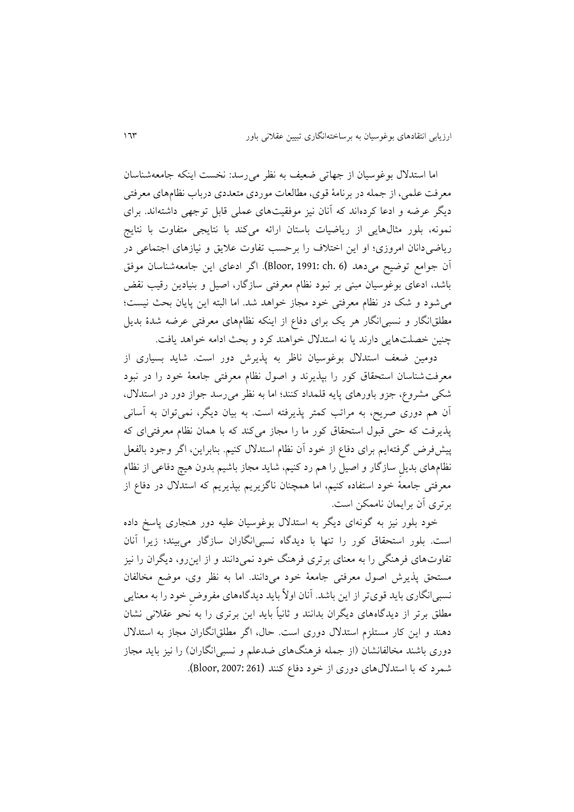اما استدالل بوغوسیان از جهاتی ضعیف به نظر میرسد: نخست اينکه جامعهشناسان معرفت علمی، از جمله در برنامة قوی، مطالعات موردی متعددی درباب نظامهای معرفتی ديگر عرضه و ادعا کردهاند که آنان نیز موفقیتهای عملی قابل توجهی داشتهاند. برای نمونه، بلور مثالهايی از رياضیات باستان ارائه میکند با نتايجی متفاوت با نتايج رياضیدانان امروزی؛ او اين اختالف را برحسب تفاوت عاليق و نیازهای اجتماعی در آن جوامع توضیح میدهد (6 .ch 1991: ,Bloor(. اگر ادعای اين جامعهشناسان موفق باشد، ادعای بوغوسیان مبنی بر نبود نظام معرفتی سازگار، اصیل و بنیادين رقیب نقض میشود و شک در نظام معرفتی خود مجاز خواهد شد. اما البته اين پايان بحث نیست؛ مطلقانگار و نسبیانگار هر يک برای دفاع از اينکه نظامهای معرفتی عرضه شدة بديل چنین خصلتهايی دارند يا نه استدالل خواهند کرد و بحث ادامه خواهد يافت.

دومین ضعف استدالل بوغوسیان ناظر به پذيرش دور است. شايد بسیاری از معرفتشناسان استحقاق کور را بپذيرند و اصول نظام معرفتی جامعة خود را در نبود شکی مشروع، جزو باورهای پايه قلمداد کنند؛ اما به نظر میرسد جواز دور در استدالل، آن هم دوری صريح، به مراتب کمتر پذيرفته است. به بیان ديگر، نمیتوان به آسانی پذيرفت که حتی قبول استحقاق کور ما را مجاز میکند که با همان نظام معرفتیای که پیشفرض گرفتهايم برای دفاع از خود آن نظام استدالل کنیم. بنابراين، اگر وجود بالفعل نظامهای بديلِ سازگار و اصیل را هم رد کنیم، شايد مجاز باشیم بدون هیچ دفاعی از نظام معرفتی جامعة خود استفاده کنیم، اما همچنان ناگزيريم بپذيريم که استدالل در دفاع از برتری آن برايمان ناممکن است.

خود بلور نیز به گونهای ديگر به استدالل بوغوسیان علیه دور هنجاری پاسخ داده است. بلور استحقاق کور را تنها با ديدگاه نسبیانگاران سازگار میبیند؛ زيرا آنان تفاوتهای فرهنگی را به معنای برتری فرهنگ خود نمیدانند و از اينرو، ديگران را نیز مستحق پذيرش اصول معرفتی جامعة خود میدانند. اما به نظر وی، موضع مخالفان نسبیانگاری بايد قویتر از اين باشد. آنان اوالً بايد ديدگاههای مفروضِ خود را به معنايی مطلق برتر از ديدگاههای ديگران بدانند و ثانیاً بايد اين برتری را به نحو عقالنی نشان دهند و اين کار مستلزم استدالل دوری است. حال، اگر مطلقانگاران مجاز به استدالل دوری باشند مخالفانشان (از جمله فرهنگهای ضدعلم و نسبی انگاران) را نیز باید مجاز شمرد که با استدلالهای دوری از خود دفاع کنند (261 :Bloor, 2007).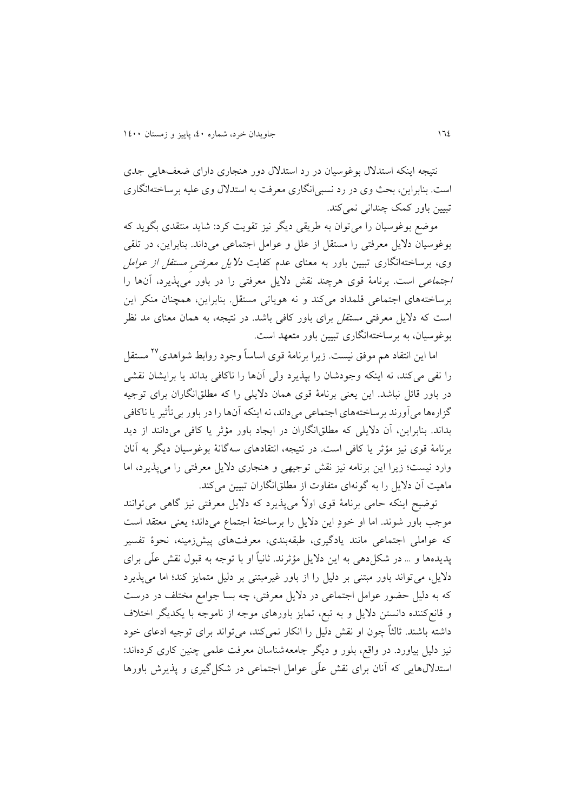نتیجه اينکه استدالل بوغوسیان در رد استدالل دور هنجاری دارای ضعفهايی جدی است. بنابراين، بحث وی در رد نسبیانگاری معرفت به استدالل وی علیه برساختهانگاری تبیین باور کمک چندانی نمی کند.

موضع بوغوسیان را میتوان به طريقی ديگر نیز تقويت کرد: شايد منتقدی بگويد که بوغوسیان داليل معرفتی را مستقل از علل و عوامل اجتماعی میداند. بنابراين، در تلقی وی، برساختهانگاری تبیین باور به معنای عدم کفايت داليل معرفتیِ مستقل از عوامل اجتماعی است. برنامة قوی هرچند نقش داليل معرفتی را در باور میپذيرد، آنها را برساختههای اجتماعی قلمداد میکند و نه هوياتی مستقل. بنابراين، همچنان منکر اين است که داليل معرفتی مستقل برای باور کافی باشد. در نتیجه، به همان معنای مد نظر بوغوسیان، به برساختهانگاری تبیین باور متعهد است.

اما اين انتقاد هم موفق نيست. زيرا برنامهٔ قوی اساساً وجود روابط شواهدی<sup>۲۷</sup> مستقل را نفی میکند، نه اينکه وجودشان را بپذيرد ولی آنها را ناکافی بداند يا برايشان نقشی در باور قائل نباشد. اين يعنی برنامة قوی همان داليلی را که مطلقانگاران برای توجیه گزارهها میآورند برساختههای اجتماعی میداند، نه اينکه آنها را در باور بیتأثیر يا ناکافی بداند. بنابراين، آن داليلی که مطلقانگاران در ايجاد باور مؤثر يا کافی میدانند از ديد برنامة قوی نیز مؤثر يا کافی است. در نتیجه، انتقادهای سهگانة بوغوسیان ديگر به آنان وارد نیست؛ زيرا اين برنامه نیز نقش توجیهی و هنجاری داليل معرفتی را میپذيرد، اما ماهیت آن داليل را به گونهای متفاوت از مطلقانگاران تبیین میکند.

توضیح اينکه حامی برنامة قوی اوالً میپذيرد که داليل معرفتی نیز گاهی میتوانند موجب باور شوند. اما او خودِ اين داليل را برساختة اجتماع میداند؛ يعنی معتقد است که عواملی اجتماعی مانند يادگیری، طبقهبندی، معرفتهای پیشزمینه، نحوة تفسیر پديدهها و ... در شکلدهی به اين داليل مؤثرند. ثانیاً او با توجه به قبول نقش علّی برای داليل، میتواند باور مبتنی بر دلیل را از باور غیرمبتنی بر دلیل متمايز کند؛ اما میپذيرد که به دلیل حضور عوامل اجتماعی در داليل معرفتی، چه بسا جوامع مختلف در درست و قانعکننده دانستن داليل و به تبع، تمايز باورهای موجه از ناموجه با يکديگر اختالف داشته باشند. ثالثاً چون او نقش دلیل را انکار نمیکند، میتواند برای توجیه ادعای خود نیز دلیل بیاورد. در واقع، بلور و ديگر جامعهشناسان معرفت علمی چنین کاری کردهاند: استداللهايی که آنان برای نقش علّی عوامل اجتماعی در شکلگیری و پذيرش باورها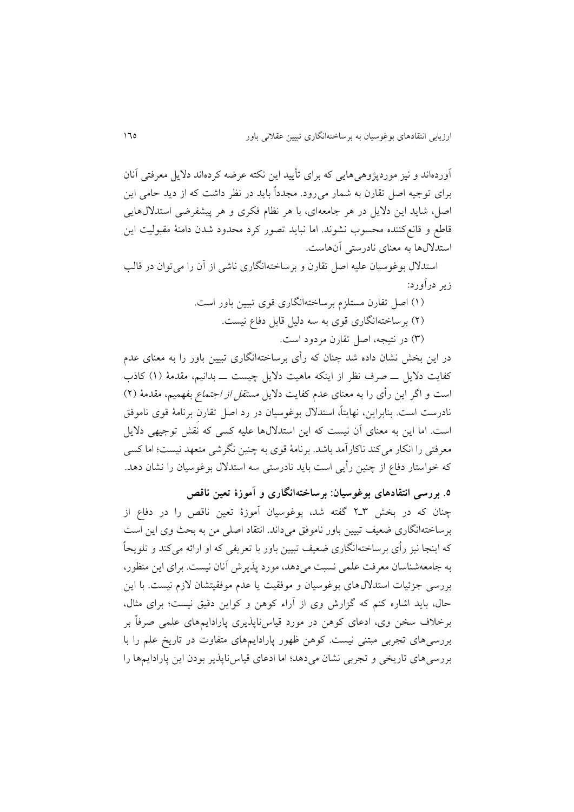آوردهاند و نیز موردپژوهیهايی که برای تأيید اين نکته عرضه کردهاند داليل معرفتی آنان برای توجیه اصل تقارن به شمار میرود. مجدداً بايد در نظر داشت که از ديد حامی اين اصل، شايد اين داليل در هر جامعهای، با هر نظام فکری و هر پیشفرضی استداللهايی قاطع و قانعکننده محسوب نشوند. اما نبايد تصور کرد محدود شدن دامنة مقبولیت اين استداللها به معنای نادرستی آنهاست.

استدالل بوغوسیان علیه اصل تقارن و برساختهانگاری ناشی از آن را میتوان در قالب زير درآورد:

> )8( اصل تقارن مستلزم برساختهانگاری قوی تبیین باور است. )4( برساختهانگاری قوی به سه دلیل قابل دفاع نیست.

)3( در نتیجه، اصل تقارن مردود است.

در اين بخش نشان داده شد چنان که رأی برساختهانگاری تبیین باور را به معنای عدم کفايت داليل ــ صرف نظر از اينکه ماهیت داليل چیست ــ بدانیم، مقدمة )8( کاذب است و اگر اين رأى را به معناى عدم كفايت دلايل *مستقل از اجتماع* بفهميم، مقدمهٔ (۲) نادرست است. بنابراين، نهايتا،ً استدالل بوغوسیان در رد اصل تقارنِ برنامة قوی ناموفق است. اما اين به معنای آن نیست که اين استداللها علیه کسی که نقش توجیهی داليل معرفتی را انکار می کند ناکارآمد باشد. برنامهٔ قوی به چنین نگرشی متعهد نیست؛ اما کسی که خواستار دفاع از چنین رأيی است بايد نادرستی سه استدالل بوغوسیان را نشان دهد.

**.۵ بررسی انتقادهای بوغوسیان: برساختهانگاری و آموزة تعین ناقص**

چنان که در بخش 3ـ4 گفته شد، بوغوسیان آموزة تعین ناقص را در دفاع از برساختهانگاری ضعیف تبیین باور ناموفق میداند. انتقاد اصلی من به بحث وی اين است که اينجا نیز رأی برساختهانگاری ضعیف تبیین باور با تعريفی که او ارائه میکند و تلويحاً به جامعهشناسان معرفت علمی نسبت میدهد، مورد پذيرش آنان نیست. برای اين منظور، بررسی جزئیات استداللهای بوغوسیان و موفقیت يا عدم موفقیتشان الزم نیست. با اين حال، بايد اشاره کنم که گزارش وی از آراء کوهن و کواين دقیق نیست؛ برای مثال، برخالف سخن وی، ادعای کوهن در مورد قیاسناپذيری پارادايمهای علمی صرفاً بر بررسیهای تجربی مبتنی نیست. کوهن ظهور پارادايمهای متفاوت در تاريخ علم را با بررسیهای تاريخی و تجربی نشان میدهد؛ اما ادعای قیاسناپذير بودن اين پارادايمها را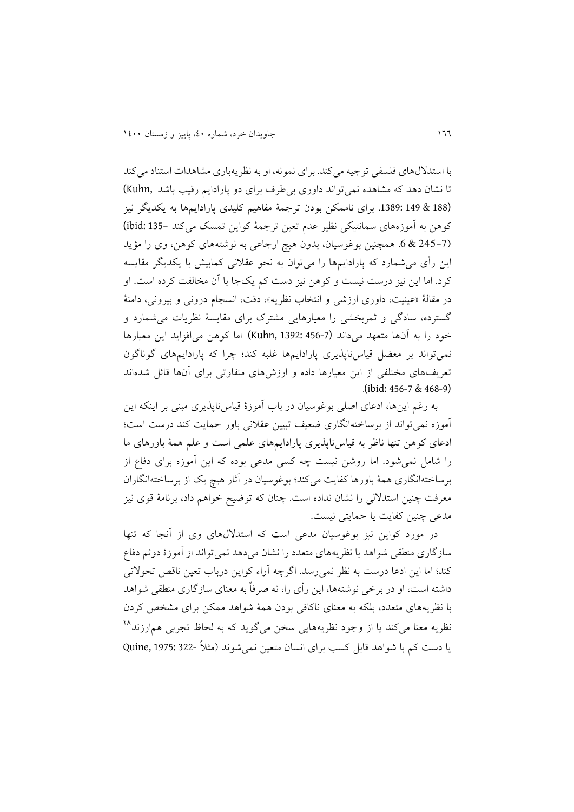با استداللهای فلسفی توجیه میکند. برای نمونه، او به نظريهباری مشاهدات استناد میکند تا نشان دهد که مشاهده نمیتواند داوری بیطرف برای دو پارادايم رقيب باشد ,Kuhn (188 & 149 .1389: برای ناممکن بودن ترجمة مفاهیم کلیدی پارادايمها به يکديگر نیز کوهن به آموزههای سمانتیکی نظیر عدم تعین ترجمة کواين تمسک میکند 135- :ibid( (245-7 & .6 همچنین بوغوسیان، بدون هیچ ارجاعی به نوشتههای کوهن، وی را مؤيد اين رأی میشمارد که پارادايمها را میتوان به نحو عقالنی کمابیش با يکديگر مقايسه کرد. اما اين نیز درست نیست و کوهن نیز دست کم يکجا با آن مخالفت کرده است. او در مقالة »عینیت، داوری ارزشی و انتخاب نظريه«، دقت، انسجام درونی و بیرونی، دامنة گسترده، سادگی و ثمربخشی را معیارهايی مشترک برای مقايسة نظريات میشمارد و خود را به آنها متعهد میداند (456-7 1392: ,Kuhn(. اما کوهن میافزايد اين معیارها نمیتواند بر معضل قیاسناپذيری پارادايمها غلبه کند؛ چرا که پارادايمهای گوناگون تعريفهای مختلفی از اين معیارها داده و ارزشهای متفاوتی برای آنها قائل شدهاند .(ibid: 456-7 & 468-9)

به رغم اينها، ادعای اصلی بوغوسیان در باب آموزة قیاسناپذيری مبنی بر اينکه اين آموزه نمیتواند از برساختهانگاری ضعیف تبیین عقالنی باور حمايت کند درست است؛ ادعای کوهن تنها ناظر به قیاسناپذيری پارادايمهای علمی است و علم همة باورهای ما را شامل نمیشود. اما روشن نیست چه کسی مدعی بوده که اين آموزه برای دفاع از برساختهانگاری همة باورها کفايت میکند؛ بوغوسیان در آثار هیچ يک از برساختهانگاران معرفت چنین استداللی را نشان نداده است. چنان که توضیح خواهم داد، برنامة قوی نیز مدعی چنین کفايت يا حمايتی نیست.

در مورد کواين نیز بوغوسیان مدعی است که استداللهای وی از آنجا که تنها سازگاری منطقی شواهد با نظريههای متعدد را نشان میدهد نمیتواند از آموزة دوئم دفاع کند؛ اما اين ادعا درست به نظر نمیرسد. اگرچه آراء کواين درباب تعین ناقص تحوالتی داشته است، او در برخی نوشتهها، اين رأی را، نه صرفاً به معنای سازگاری منطقی شواهد با نظريههای متعدد، بلکه به معنای ناکافی بودن همة شواهد ممکن برای مشخص کردن نظريه معنا میکند يا از وجود نظريههايی سخن میگويد که به لحاظ تجربی هم<sub>ا</sub>رزند<sup>۲۸</sup> يا دست کم با شواهد قابل کسب برای انسان متعین نمیشوند )مثالً 322- 1975: ,Quine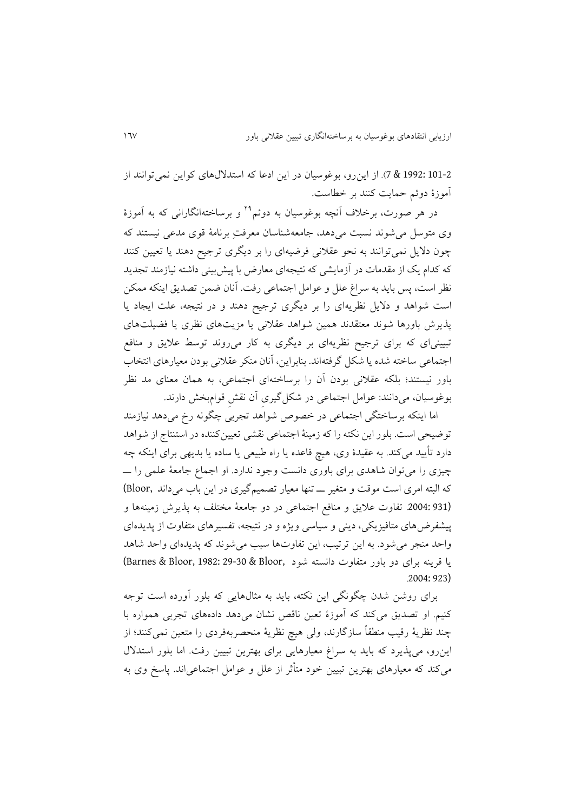101-2 1992: & 7(. از اينرو، بوغوسیان در اين ادعا که استداللهای کواين نمیتوانند از آموزة دوئم حمايت کنند بر خطاست.

در هر صورت، برخلاف آنچه بوغوسیان به دوئم<sup>۲۹</sup> و برساختهانگارانی که به آموزهٔ وی متوسل میشوند نسبت میدهد، جامعهشناسان معرفتِ برنامة قوی مدعی نیستند که چون داليل نمیتوانند به نحو عقالنی فرضیهای را بر ديگری ترجیح دهند يا تعیین کنند که کدام يک از مقدمات در آزمايشی که نتیجهای معارض با پیشبینی داشته نیازمند تجديد نظر است، پس بايد به سراغ علل و عوامل اجتماعی رفت. آنان ضمن تصديق اينکه ممکن است شواهد و داليل نظريهای را بر ديگری ترجیح دهند و در نتیجه، علت ايجاد يا پذيرش باورها شوند معتقدند همین شواهد عقالنی يا مزيتهای نظری يا فضیلتهای تبیینیای که برای ترجیح نظريهای بر ديگری به کار میروند توسط عاليق و منافع اجتماعی ساخته شده يا شکل گرفتهاند. بنابراين، آنان منکر عقالنی بودن معیارهای انتخاب باور نیستند؛ بلکه عقالنی بودن آن را برساختهای اجتماعی، به همان معنای مد نظر بوغوسیان، میدانند: عوامل اجتماعی در شکلگیریِ آن نقشِ قوامبخش دارند.

اما اينکه برساختگی اجتماعی در خصوص شواهد تجربی چگونه رخ میدهد نیازمند توضیحی است. بلور اين نکته را که زمینة اجتماعی نقشی تعیینکننده در استنتاج از شواهد دارد تأيید میکند. به عقیدة وی، هیچ قاعده يا راه طبیعی يا ساده يا بديهی برای اينکه چه چیزی را میتوان شاهدی برای باوری دانست وجود ندارد. او اجماع جامعة علمی را ــ که البته امری است موقت و متغیر ــ تنها معیار تصمیمگیری در اين باب میداند ,Bloor( (931 .2004: تفاوت عاليق و منافع اجتماعی در دو جامعة مختلف به پذيرش زمینهها و پیشفرضهای متافیزيکی، دينی و سیاسی ويژه و در نتیجه، تفسیرهای متفاوت از پديدهای واحد منجر میشود. به اين ترتیب، اين تفاوتها سبب میشوند که پديدهای واحد شاهد يا قرينه برای دو باور متفاوت دانسته شود ,Barnes & Bloor, 1982: 29-30 & Bloor )  $2004.923$ 

برای روشن شدن چگونگی اين نکته، بايد به مثالهايی که بلور آورده است توجه کنیم. او تصديق میکند که آموزة تعین ناقص نشان میدهد دادههای تجربی همواره با چند نظرية رقیب منطقاً سازگارند، ولی هیچ نظرية منحصربهفردی را متعین نمیکنند؛ از اينرو، میپذيرد که بايد به سراغ معیارهايی برای بهترين تبیین رفت. اما بلور استدالل میکند که معیارهای بهترين تبیین خود متأثر از علل و عوامل اجتماعیاند. پاسخ وی به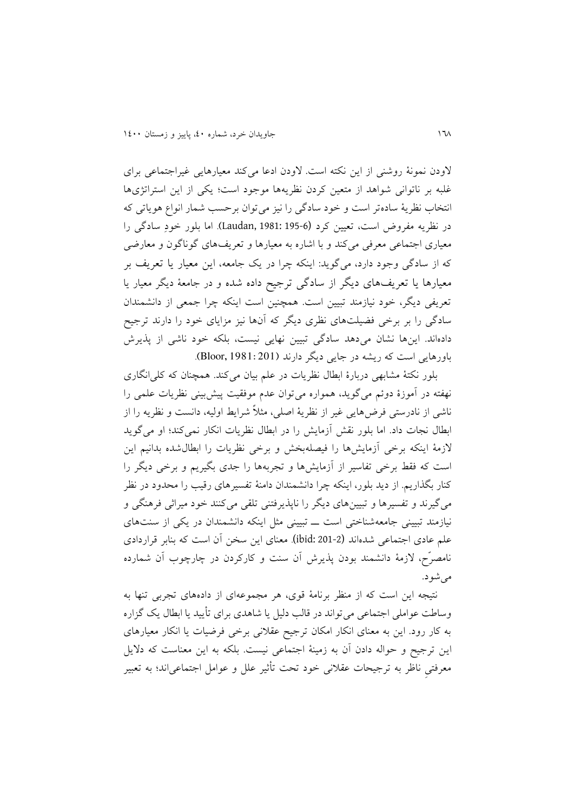الودن نمونة روشنی از اين نکته است. الودن ادعا میکند معیارهايی غیراجتماعی برای غلبه بر ناتوانی شواهد از متعین کردن نظريهها موجود است؛ يکی از اين استراتژیها انتخاب نظرية سادهتر است و خود سادگی را نیز میتوان برحسب شمار انواع هوياتی که در نظريه مفروض است، تعیین کرد (195-6 1981: ,Laudan(. اما بلور خودِ سادگی را معیاری اجتماعی معرفی میکند و با اشاره به معیارها و تعريفهای گوناگون و معارضی که از سادگی وجود دارد، میگويد: اينکه چرا در يک جامعه، اين معیار يا تعريف بر معیارها يا تعريفهای ديگر از سادگی ترجیح داده شده و در جامعة ديگر معیار يا تعريفی ديگر، خود نیازمند تبیین است. همچنین است اينکه چرا جمعی از دانشمندان سادگی را بر برخی فضیلتهای نظری ديگر که آنها نیز مزايای خود را دارند ترجیح دادهاند. اينها نشان میدهد سادگی تبیین نهايی نیست، بلکه خود ناشی از پذيرش باورهايی است که ريشه در جايی ديگر دارند (201 1981: ,Bloor(.

بلور نکتة مشابهی دربارة ابطال نظريات در علم بیان میکند. همچنان که کلیانگاری نهفته در آموزة دوئم میگويد، همواره میتوان عدم موفقیت پیشبینی نظريات علمی را ناشی از نادرستی فرضهايی غیر از نظرية اصلی، مثالً شرايط اولیه، دانست و نظريه را از ابطال نجات داد. اما بلور نقش آزمايش را در ابطال نظريات انکار نمیکند؛ او میگويد الزمة اينکه برخی آزمايشها را فیصلهبخش و برخی نظريات را ابطالشده بدانیم اين است که فقط برخی تفاسیر از آزمايشها و تجربهها را جدی بگیريم و برخی ديگر را کنار بگذاريم. از ديد بلور، اينکه چرا دانشمندان دامنة تفسیرهای رقیب را محدود در نظر میگیرند و تفسیرها و تبیینهای ديگر را ناپذيرفتنی تلقی میکنند خود میراثی فرهنگی و نیازمند تبیینی جامعهشناختی است ــ تبیینی مثل اينکه دانشمندان در يکی از سنتهای علم عادی اجتماعی شدهاند (201-2 :ibid(. معنای اين سخن آن است که بنابر قراردادی نامصرّح، الزمة دانشمند بودن پذيرش آن سنت و کارکردن در چارچوب آن شمارده می شو د.

نتیجه اين است که از منظر برنامة قوی، هر مجموعهای از دادههای تجربی تنها به وساطت عواملی اجتماعی میتواند در قالب دلیل يا شاهدی برای تأيید يا ابطال يک گزاره به کار رود. اين به معنای انکار امکان ترجیح عقالنی برخی فرضیات يا انکار معیارهای اين ترجیح و حواله دادن آن به زمینة اجتماعی نیست. بلکه به اين معناست که داليل معرفتیِ ناظر به ترجیحات عقالنی خود تحت تأثیر علل و عوامل اجتماعیاند؛ به تعبیر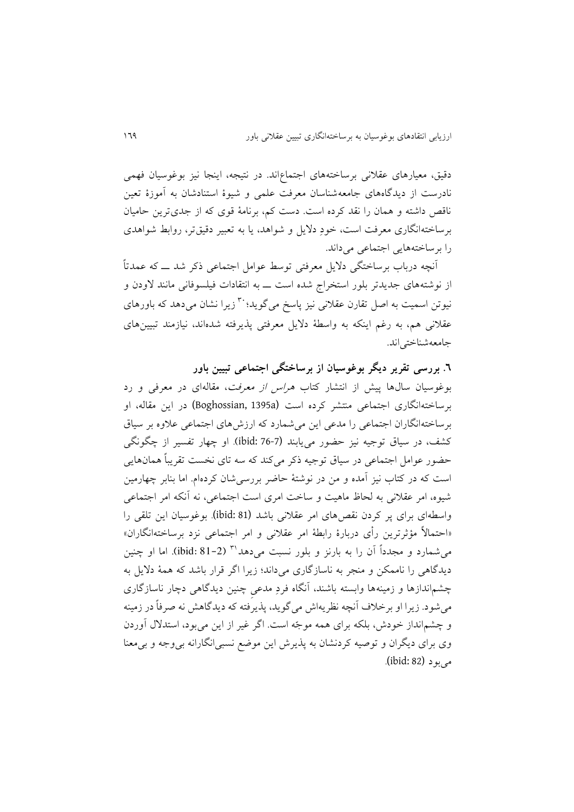دقیق، معیارهای عقالنی برساختههای اجتماعاند. در نتیجه، اينجا نیز بوغوسیان فهمی نادرست از ديدگاههای جامعهشناسان معرفت علمی و شیوة استنادشان به آموزة تعین ناقص داشته و همان را نقد کرده است. دست کم، برنامة قوی که از جدیترين حامیان برساختهانگاری معرفت است، خودِ داليل و شواهد، يا به تعبیر دقیقتر، روابط شواهدی را برساختههايی اجتماعی میداند.

آنچه درباب برساختگی داليل معرفتی توسط عوامل اجتماعی ذکر شد ــ که عمدتاً از نوشتههای جديدتر بلور استخراج شده است ــ به انتقادات فیلسوفانی مانند الودن و نیوتن اسمیت به اصل تقارن عقلانی نیز پاسخ میگوید: <sup>۳۰</sup> زیرا نشان میدهد که باورهای عقالنی هم، به رغم اينکه به واسطة داليل معرفتی پذيرفته شدهاند، نیازمند تبیینهای جامعهشناختیاند.

**.۶ بررسی تقریر دیگر بوغوسیان از برساختگی اجتماعی تبیین باور**

بوغوسیان سالها پیش از انتشار کتاب *هراس از معرفت*، مقالهای در معرفی و رد برساختهانگاری اجتماعی منتشر کرده است (a1395 ,Boghossian (در اين مقاله، او برساختهانگاران اجتماعی را مدعی اين میشمارد که ارزشهای اجتماعی عالوه بر سیاق کشف، در سیاق توجیه نیز حضور میيابند (76-7 :ibid(. او چهار تفسیر از چگونگی حضور عوامل اجتماعی در سیاق توجیه ذکر میکند که سه تای نخست تقريباً همانهايی است که در کتاب نیز آمده و من در نوشتة حاضر بررسیشان کردهام. اما بنابر چهارمین شیوه، امر عقالنی به لحاظ ماهیت و ساخت امری است اجتماعی، نه آنکه امر اجتماعی واسطهای برای پر کردن نقصهای امر عقالنی باشد (81 :ibid(. بوغوسیان اين تلقی را »احتماالً مؤثرترين رأی دربارة رابطة امر عقالنی و امر اجتماعی نزد برساختهانگاران« میشمارد و مجدداً آن را به بارنز و بلور نسبت میدهد (81-2 :ibid(. اما او چنین <sup>38</sup> ديدگاهی را ناممکن و منجر به ناسازگاری میداند؛ زيرا اگر قرار باشد که همة داليل به چشماندازها و زمینهها وابسته باشند، آنگاه فردِ مدعیِ چنین ديدگاهی دچار ناسازگاری میشود. زيرا او برخالف آنچه نظريهاش میگويد، پذيرفته که ديدگاهش نه صرفاً در زمینه و چشمانداز خودش، بلکه برای همه موجّه است. اگر غیر از اين میبود، استدالل آوردن وی برای ديگران و توصیه کردنشان به پذيرش اين موضع نسبیانگارانه بیوجه و بیمعنا میبود (82 :ibid(.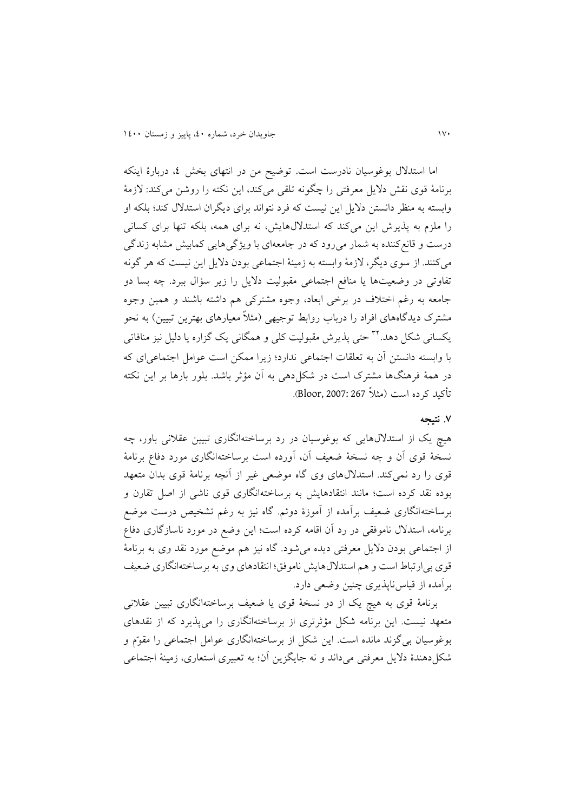اما استدالل بوغوسیان نادرست است. توضیح من در انتهای بخش ،4 دربارة اينکه برنامة قوی نقش داليل معرفتی را چگونه تلقی میکند، اين نکته را روشن میکند: الزمة وابسته به منظر دانستن داليل اين نیست که فرد نتواند برای ديگران استدالل کند؛ بلکه او را ملزم به پذيرش اين میکند که استداللهايش، نه برای همه، بلکه تنها برای کسانی درست و قانعکننده به شمار میرود که در جامعهای با ويژگیهايی کمابیش مشابه زندگی میکنند. از سوی ديگر، الزمة وابسته به زمینة اجتماعی بودن داليل اين نیست که هر گونه تفاوتی در وضعیتها يا منافع اجتماعی مقبولیت داليل را زير سؤال ببرد. چه بسا دو جامعه به رغم اختالف در برخی ابعاد، وجوه مشترکی هم داشته باشند و همین وجوه مشترک ديدگاههای افراد را درباب روابط توجیهی )مثالً معیارهای بهترين تبیین( به نحو یکسانی شکل دهد.<sup>۲۲</sup> حتی پذیرش مقبولیت کلی و همگانی یک گزاره یا دلیل نیز منافاتی با وابسته دانستن آن به تعلقات اجتماعی ندارد؛ زيرا ممکن است عوامل اجتماعیای که در همة فرهنگها مشترک است در شکلدهی به آن مؤثر باشد. بلور بارها بر اين نکته تأکید کرده است )مثالً 267 2007: ,Bloor).

# **.1 نتیجه**

هیچ يک از استداللهايی که بوغوسیان در رد برساختهانگاری تبیین عقالنی باور، چه نسخة قوی آن و چه نسخة ضعیف آن، آورده است برساختهانگاری مورد دفاع برنامة قوی را رد نمیکند. استداللهای وی گاه موضعی غیر از آنچه برنامة قوی بدان متعهد بوده نقد کرده است؛ مانند انتقادهايش به برساختهانگاری قوی ناشی از اصل تقارن و برساختهانگاری ضعیف برآمده از آموزة دوئم. گاه نیز به رغم تشخیص درست موضع برنامه، استدالل ناموفقی در رد آن اقامه کرده است؛ اين وضع در مورد ناسازگاری دفاع از اجتماعی بودن داليل معرفتی ديده میشود. گاه نیز هم موضع مورد نقد وی به برنامة قوی بیارتباط است و هم استداللهايش ناموفق؛ انتقادهای وی به برساختهانگاری ضعیف برآمده از قیاسناپذيری چنین وضعی دارد.

برنامة قوی به هیچ يک از دو نسخة قوی يا ضعیف برساختهانگاری تبیین عقالنی متعهد نیست. اين برنامه شکل مؤثرتری از برساختهانگاری را میپذيرد که از نقدهای بوغوسیان بیگزند مانده است. اين شکل از برساختهانگاری عوامل اجتماعی را مقوّم و شکل دهندهٔ دلایل معرفتی میداند و نه جایگزین آن؛ به تعبیری استعاری، زمینهٔ اجتماعی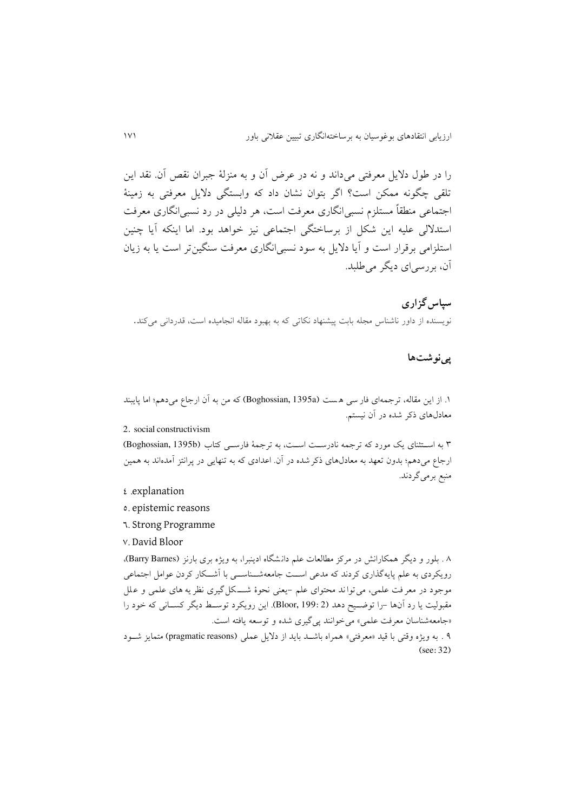را در طول داليل معرفتی میداند و نه در عرض آن و به منزلة جبران نقص آن. نقد اين تلقی چگونه ممکن است؟ اگر بتوان نشان داد که وابستگی داليل معرفتی به زمینة اجتماعی منطقاً مستلزم نسبیانگاری معرفت است، هر دلیلی در رد نسبیانگاری معرفت استداللی علیه اين شکل از برساختگی اجتماعی نیز خواهد بود. اما اينکه آيا چنین استلزامی برقرار است و آيا داليل به سود نسبیانگاری معرفت سنگینتر است يا به زيان آن، بررسیای ديگر میطلبد.

**سپاسگزاری** نويسنده از داور ناشناس مجله بابت پیشنهاد نکاتی که به بهبود مقاله انجامیده است، قدردانی میکند.

# **پینوشتها**

.8 از اين مقاله، ترجمهای فار سی ه ست (a1395 ,Boghossian (که من به آن ارجاع میدهم؛ اما پايبند معادلهای ذکر شده در آن نیستم.

## 2. social constructivism

3 به اســتثنای يک مورد که ترجمه نادرســت اســت، به ترجمة فارســی کتاب (b1395 ,Boghossian( ارجاع میدهم؛ بدون تعهد به معادلهای ذکرشده در آن. اعدادی که به تنهايی در پرانتز آمدهاند به همین منبع برمیگردند.

- 4 .explanation
- 5. epistemic reasons
- 6. Strong Programme
- 7. David Bloor

1 . بلور و ديگر همکارانش در مرکز مطالعات علم دان شگاه ادينبرا، به ويژه بری بارنز (Barnes Barry(، رويکردی به علم پايهگذاری کردند که مدعی اســت جامعهشــناســی با آشــکار کردن عوامل اجتماعی موجود در معر فت علمی، می توا ند محتوای علم -يعنی نحوة شـــ کل گیری نظر يه های علمی و ع لل مقبولیت يا رد آنها -را توضــیح دهد (2 199: ,Bloor(. اين رويکرد توســط ديگر کســانی که خود را «جامعهشناسان معرفت علمی» می خوانند پی گیری شده و توسعه یافته است.

1 . به ويژه وقتی با قید »معرفتی« همراه باشــد بايد از داليل عملی (reasons pragmatic (متمايز شــود (see: 32)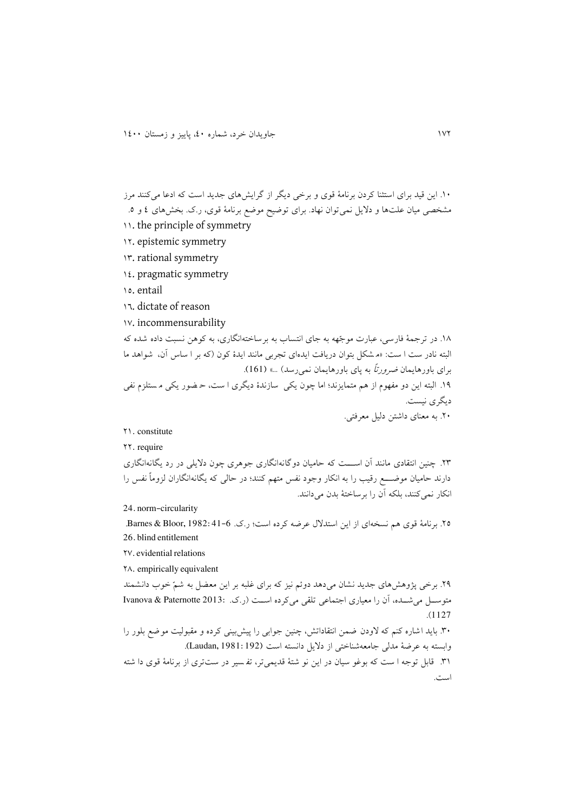```
.84 اين قید برای استثنا کردن برنامة قوی و برخی ديگر از گرايشهای جديد است که ادعا می کنند مرز 
مشخصی میان علتها و داليل نمیتوان نهاد. برای توضیح موضع برنامة قوی، ر.ک. بخشهای 4 و .5
```
- 11. the principle of symmetry
- 84. epistemic symmetry
- 83. rational symmetry
- 84. pragmatic symmetry
- 85. entail
- 86. dictate of reason
- 87. incommensurability

.81 در ترجمة فارسی، عبارت موجّهه به جای انتساب به برساخته انگاری، به کوهن نسبت داده شده که البته نادر ست ا ست: «م شکل بتوان دريافت ايدهاي تجربي مانند ايدهٔ کون (که بر ا ساس آن، شواهد ما برای باورهايمان *ضرورتاً* به پای باورهايمان نمی رسد) ...» (161). .81 البته اين دو مفهوم از هم متمايزند؛ اما چون يکی سازندة ديگری ا ست، ح ضور يکی م ستلزم نفی ديگری نیست. .44 به معنای داشتن دلیل معرفتی.

### 48. constitute

## 44. require

.43 چنین انتقادی مانند آن اســـت که حامیان دوگانه انگاری جوهری چون داليلی در رد يگانه انگاری دارند حامیان موضـــع رقیب را به انکار وجود نفس متهم کنند؛ در حالی که يگانه انگاران لزوماً نفس را انکار نمی کنند، بلکه آن را برساختهٔ بدن می دانند.

24. norm-circularity

70. برنامهٔ قوی هم نسخهای از اين استدلال عرضه کرده است؛ ر.ک. 6-31-82: Barnes & Bloor, 1982. 26. blind entitlement

47.evidential relations

41. empirically equivalent

.41 برخی پژوهشهای جديد نشان می دهد دوئم نیز که برای غلبه بر اين معضل به شمّ خوب دانشمند متوســل میشــده، آن را معیاری اجتماعی تلقی میکرده اســت )ر.ک. 2013: Paternotte & Ivanova .)1127

.34 بايد اشاره کنم که الودن ضمن انتقاداتش، چنین جوابی را پیش بینی کرده و مقبولیت موضع بل ور را وابسته به عرضة مدلی جامعهشناختی از داليل دانسته است (192 1981: ,Laudan(. .38 قابل توجه ا ست که بوغو سیان در اين نو شتة قديمی تر، تف سیر در ست تری از برنامة قوی دا شته است.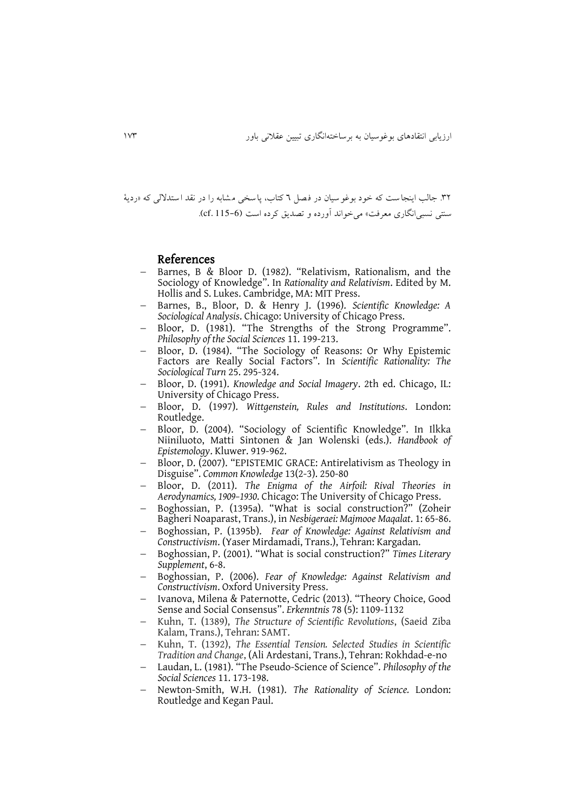.34 جالب اينجا ست که خود بوغو سیان در ف صل 6 کتاب، پاسخی م شابه را در نقد ا ستداللی که »ردية سنتی نسبیانگاری معرفت« میخواند آورده و تصديق کرده است (115-6 .cf(.

# References

- Barnes, B & Bloor D. (1982). "Relativism, Rationalism, and the Sociology of Knowledge". In *Rationality and Relativism*. Edited by M. Hollis and S. Lukes. Cambridge, MA: MIT Press.
- Barnes, B., Bloor, D. & Henry J. (1996). *Scientific Knowledge: A Sociological Analysis*. Chicago: University of Chicago Press.
- Bloor, D. (1981). "The Strengths of the Strong Programme". *Philosophy of the Social Sciences* 11. 199-213.
- Bloor, D. (1984). "The Sociology of Reasons: Or Why Epistemic Factors are Really Social Factors". In *Scientific Rationality: The Sociological Turn* 25. 295-324.
- Bloor, D. (1991). *Knowledge and Social Imagery*. 2th ed. Chicago, IL: University of Chicago Press.
- Bloor, D. (1997). *Wittgenstein, Rules and Institutions*. London: Routledge.
- Bloor, D. (2004). "Sociology of Scientific Knowledge". In Ilkka Niiniluoto, Matti Sintonen & Jan Wolenski (eds.). *Handbook of Epistemology*. Kluwer. 919-962.
- Bloor, D. (2007). "EPISTEMIC GRACE: Antirelativism as Theology in Disguise". *Common Knowledge* 13(2-3). 250-80
- Bloor, D. (2011). *The Enigma of the Airfoil: Rival Theories in Aerodynamics, 1909–1930*. Chicago: The University of Chicago Press.
- Boghossian, P. (1395a). "What is social construction?" (Zoheir Bagheri Noaparast, Trans.), in *Nesbigeraei: Majmooe Maqalat*. 1: 65-86.
- Boghossian, P. (1395b). *Fear of Knowledge: Against Relativism and Constructivism*. (Yaser Mirdamadi, Trans.), Tehran: Kargadan.
- Boghossian, P. (2001). "What is social construction?" *Times Literary Supplement*, 6-8.
- Boghossian, P. (2006). *Fear of Knowledge: Against Relativism and Constructivism*. Oxford University Press.
- Ivanova, Milena & Paternotte, Cedric (2013). "Theory Choice, Good Sense and Social Consensus". *Erkenntnis* 78 (5): 1109-1132
- Kuhn, T. (1389), *The Structure of Scientific Revolutions*, (Saeid Ziba Kalam, Trans.), Tehran: SAMT.
- Kuhn, T. (1392), *The Essential Tension. Selected Studies in Scientific Tradition and Change*, (Ali Ardestani, Trans.), Tehran: Rokhdad-e-no
- Laudan, L. (1981). "The Pseudo-Science of Science". *Philosophy of the Social Sciences* 11. 173-198.
- Newton-Smith, W.H. (1981). *The Rationality of Science.* London: Routledge and Kegan Paul.